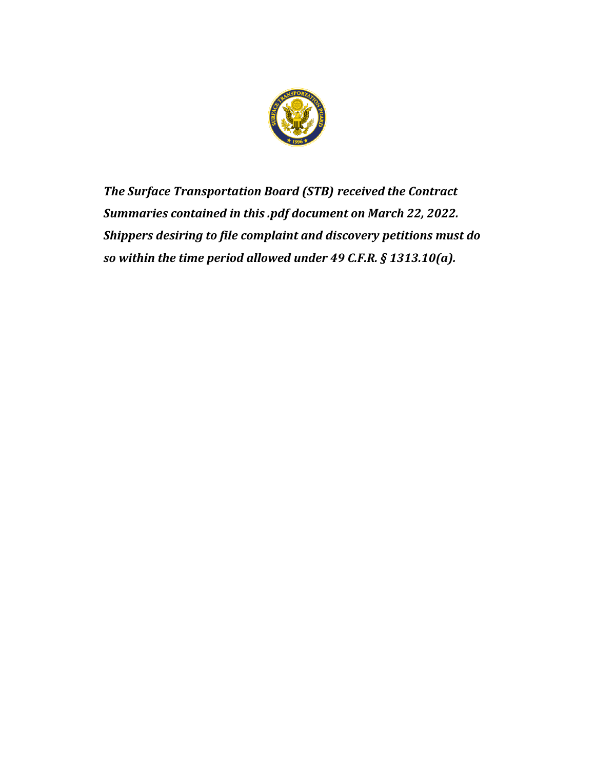

*The Surface Transportation Board (STB) received the Contract Summaries contained in this .pdf document on March 22, 2022. Shippers desiring to file complaint and discovery petitions must do so within the time period allowed under 49 C.F.R. § 1313.10(a).*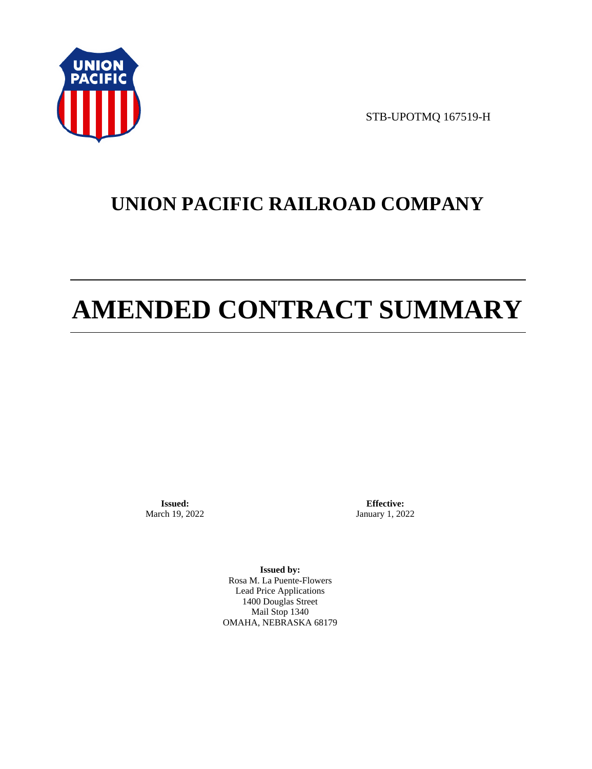

STB-UPOTMQ 167519-H

# **UNION PACIFIC RAILROAD COMPANY**

# **AMENDED CONTRACT SUMMARY**

**Issued:**  March 19, 2022

**Effective:** January 1, 2022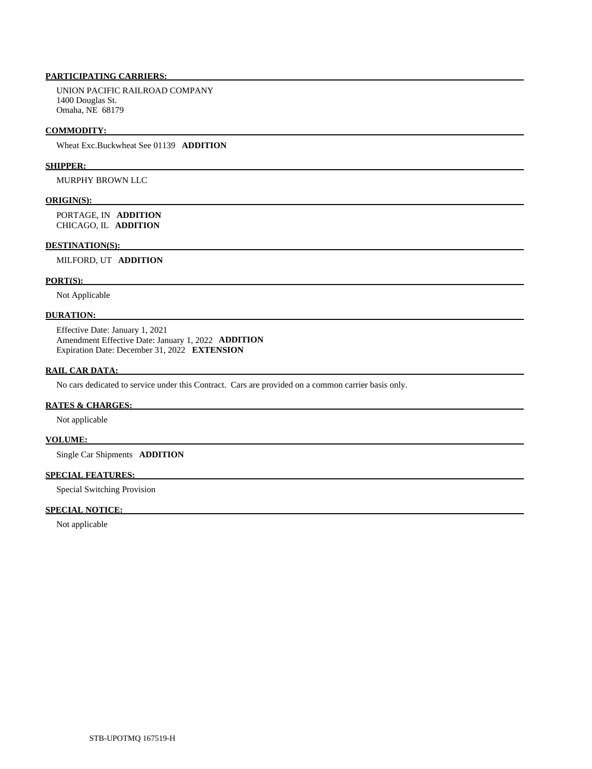UNION PACIFIC RAILROAD COMPANY 1400 Douglas St. Omaha, NE 68179

#### **COMMODITY:**

Wheat Exc.Buckwheat See 01139 **ADDITION** 

# **SHIPPER:**

MURPHY BROWN LLC

#### **ORIGIN(S):**

 PORTAGE, IN **ADDITION**  CHICAGO, IL **ADDITION** 

#### **DESTINATION(S):**

MILFORD, UT **ADDITION** 

# **PORT(S):**

Not Applicable

### **DURATION:**

 Effective Date: January 1, 2021 Amendment Effective Date: January 1, 2022 **ADDITION**  Expiration Date: December 31, 2022 **EXTENSION** 

# **RAIL CAR DATA:**

No cars dedicated to service under this Contract. Cars are provided on a common carrier basis only.

#### **RATES & CHARGES:**

Not applicable

# **VOLUME:**

Single Car Shipments **ADDITION** 

# **SPECIAL FEATURES:**

Special Switching Provision

#### **SPECIAL NOTICE:**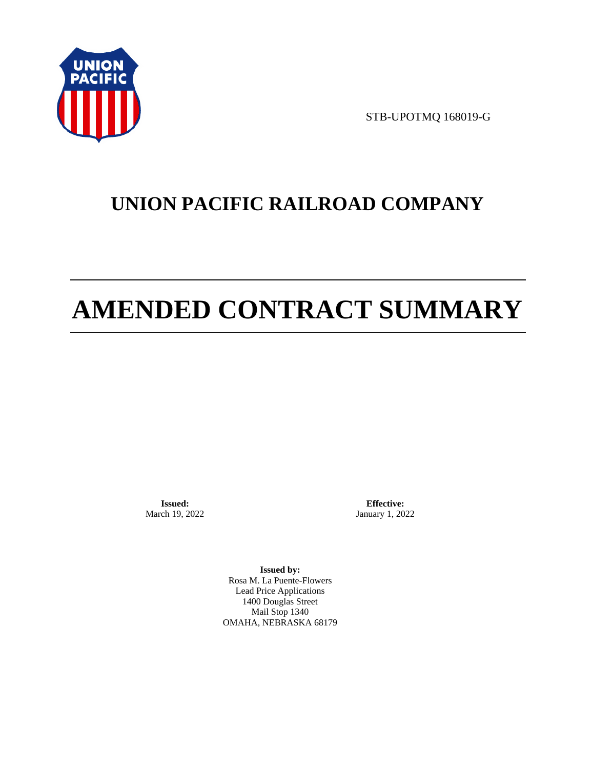

STB-UPOTMQ 168019-G

# **UNION PACIFIC RAILROAD COMPANY**

# **AMENDED CONTRACT SUMMARY**

**Issued:**  March 19, 2022

**Effective:** January 1, 2022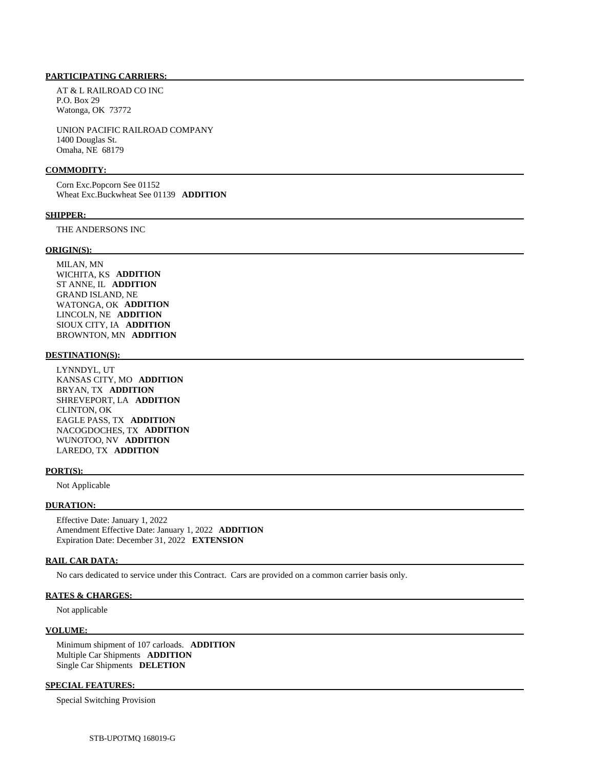AT & L RAILROAD CO INC P.O. Box 29 Watonga, OK 73772

 UNION PACIFIC RAILROAD COMPANY 1400 Douglas St. Omaha, NE 68179

#### **COMMODITY:**

 Corn Exc.Popcorn See 01152 Wheat Exc.Buckwheat See 01139 **ADDITION** 

#### **SHIPPER:**

THE ANDERSONS INC

#### **ORIGIN(S):**

 MILAN, MN WICHITA, KS **ADDITION**  ST ANNE, IL **ADDITION**  GRAND ISLAND, NE WATONGA, OK **ADDITION**  LINCOLN, NE **ADDITION**  SIOUX CITY, IA **ADDITION**  BROWNTON, MN **ADDITION** 

# **DESTINATION(S):**

 LYNNDYL, UT KANSAS CITY, MO **ADDITION**  BRYAN, TX **ADDITION**  SHREVEPORT, LA **ADDITION**  CLINTON, OK EAGLE PASS, TX **ADDITION**  NACOGDOCHES, TX **ADDITION**  WUNOTOO, NV **ADDITION**  LAREDO, TX **ADDITION** 

#### **PORT(S):**

Not Applicable

#### **DURATION:**

 Effective Date: January 1, 2022 Amendment Effective Date: January 1, 2022 **ADDITION**  Expiration Date: December 31, 2022 **EXTENSION** 

#### **RAIL CAR DATA:**

No cars dedicated to service under this Contract. Cars are provided on a common carrier basis only.

# **RATES & CHARGES:**

Not applicable

#### **VOLUME:**

 Minimum shipment of 107 carloads. **ADDITION**  Multiple Car Shipments **ADDITION**  Single Car Shipments **DELETION** 

### **SPECIAL FEATURES:**

Special Switching Provision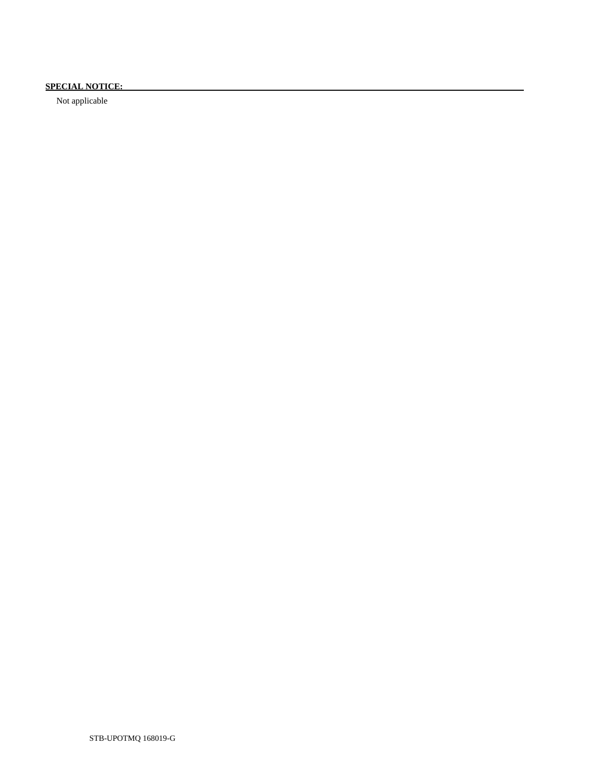# **SPECIAL NOTICE:**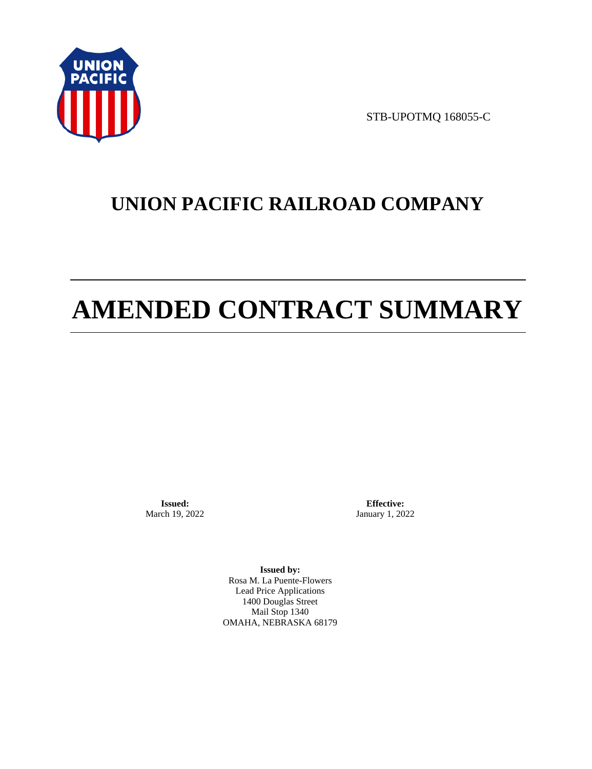

STB-UPOTMQ 168055-C

# **UNION PACIFIC RAILROAD COMPANY**

# **AMENDED CONTRACT SUMMARY**

**Issued:**  March 19, 2022

**Effective:** January 1, 2022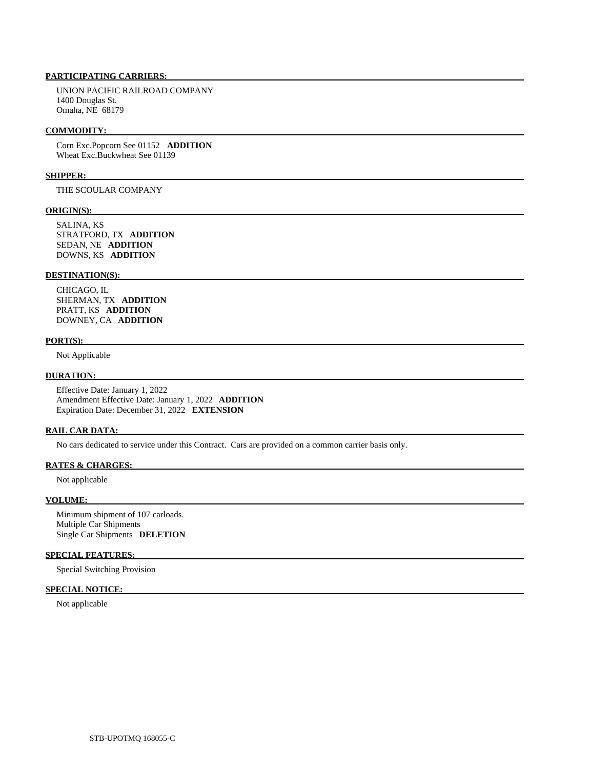UNION PACIFIC RAILROAD COMPANY 1400 Douglas St. Omaha, NE 68179

#### **COMMODITY:**

 Corn Exc.Popcorn See 01152 **ADDITION**  Wheat Exc.Buckwheat See 01139

#### **SHIPPER:**

THE SCOULAR COMPANY

# **ORIGIN(S):**

 SALINA, KS STRATFORD, TX **ADDITION**  SEDAN, NE **ADDITION**  DOWNS, KS **ADDITION** 

# **DESTINATION(S):**

 CHICAGO, IL SHERMAN, TX **ADDITION**  PRATT, KS **ADDITION**  DOWNEY, CA **ADDITION** 

#### **PORT(S):**

Not Applicable

#### **DURATION:**

 Effective Date: January 1, 2022 Amendment Effective Date: January 1, 2022 **ADDITION**  Expiration Date: December 31, 2022 **EXTENSION** 

#### **RAIL CAR DATA:**

No cars dedicated to service under this Contract. Cars are provided on a common carrier basis only.

#### **RATES & CHARGES:**

Not applicable

# **VOLUME:**

 Minimum shipment of 107 carloads. Multiple Car Shipments Single Car Shipments **DELETION** 

# **SPECIAL FEATURES:**

Special Switching Provision

# **SPECIAL NOTICE:**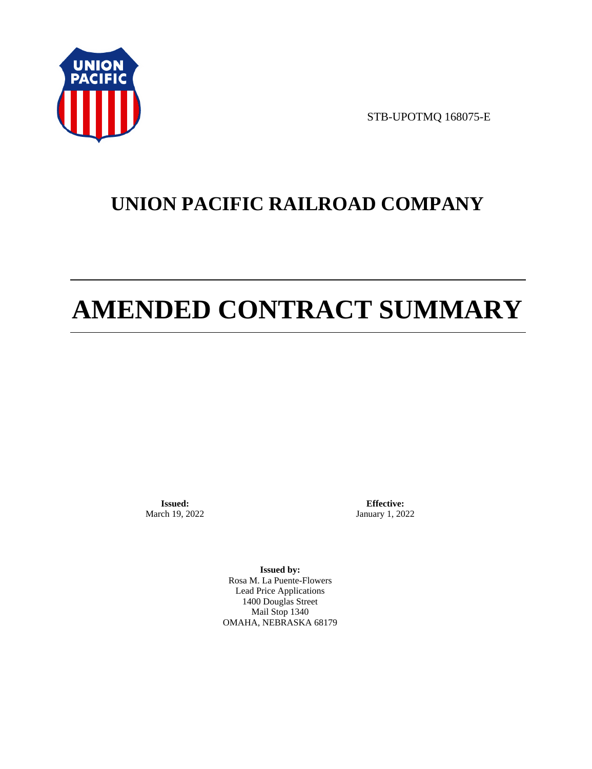

STB-UPOTMQ 168075-E

# **UNION PACIFIC RAILROAD COMPANY**

# **AMENDED CONTRACT SUMMARY**

**Issued:**  March 19, 2022

**Effective:** January 1, 2022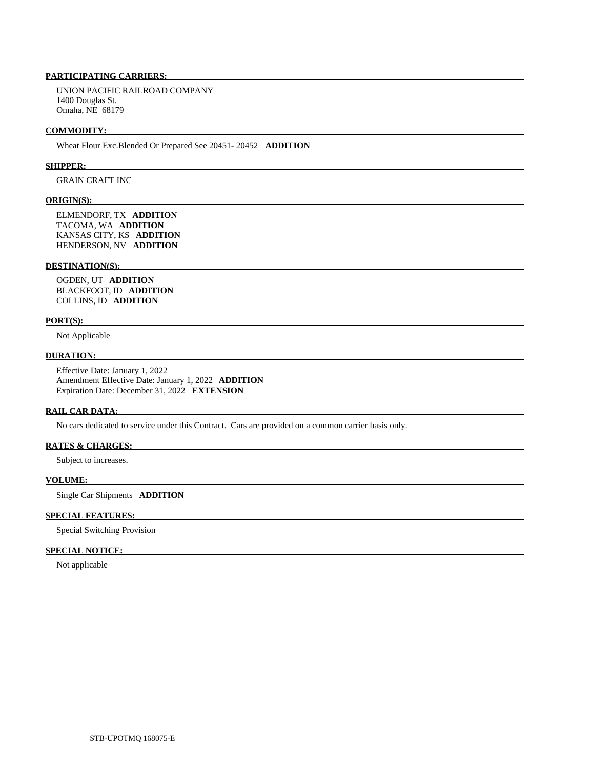UNION PACIFIC RAILROAD COMPANY 1400 Douglas St. Omaha, NE 68179

#### **COMMODITY:**

Wheat Flour Exc.Blended Or Prepared See 20451- 20452 **ADDITION** 

#### **SHIPPER:**

GRAIN CRAFT INC

#### **ORIGIN(S):**

 ELMENDORF, TX **ADDITION**  TACOMA, WA **ADDITION**  KANSAS CITY, KS **ADDITION**  HENDERSON, NV **ADDITION** 

### **DESTINATION(S):**

 OGDEN, UT **ADDITION**  BLACKFOOT, ID **ADDITION**  COLLINS, ID **ADDITION** 

#### **PORT(S):**

Not Applicable

#### **DURATION:**

 Effective Date: January 1, 2022 Amendment Effective Date: January 1, 2022 **ADDITION**  Expiration Date: December 31, 2022 **EXTENSION** 

#### **RAIL CAR DATA:**

No cars dedicated to service under this Contract. Cars are provided on a common carrier basis only.

#### **RATES & CHARGES:**

Subject to increases.

# **VOLUME:**

Single Car Shipments **ADDITION** 

# **SPECIAL FEATURES:**

Special Switching Provision

# **SPECIAL NOTICE:**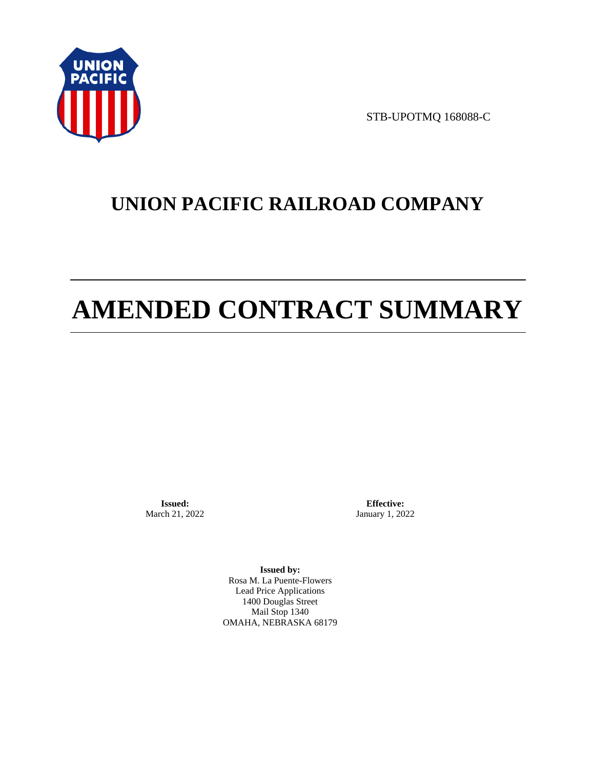

STB-UPOTMQ 168088-C

# **UNION PACIFIC RAILROAD COMPANY**

# **AMENDED CONTRACT SUMMARY**

**Issued:**  March 21, 2022

**Effective:** January 1, 2022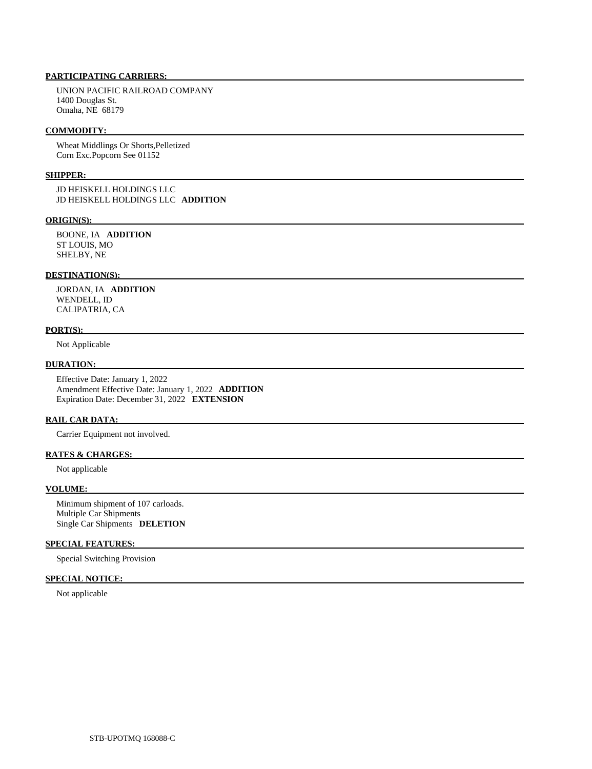UNION PACIFIC RAILROAD COMPANY 1400 Douglas St. Omaha, NE 68179

#### **COMMODITY:**

 Wheat Middlings Or Shorts,Pelletized Corn Exc.Popcorn See 01152

# **SHIPPER:**

 JD HEISKELL HOLDINGS LLC JD HEISKELL HOLDINGS LLC **ADDITION** 

#### **ORIGIN(S):**

 BOONE, IA **ADDITION**  ST LOUIS, MO SHELBY, NE

#### **DESTINATION(S):**

 JORDAN, IA **ADDITION**  WENDELL, ID CALIPATRIA, CA

# **PORT(S):**

Not Applicable

# **DURATION:**

 Effective Date: January 1, 2022 Amendment Effective Date: January 1, 2022 **ADDITION**  Expiration Date: December 31, 2022 **EXTENSION** 

# **RAIL CAR DATA:**

Carrier Equipment not involved.

# **RATES & CHARGES:**

Not applicable

#### **VOLUME:**

 Minimum shipment of 107 carloads. Multiple Car Shipments Single Car Shipments **DELETION** 

#### **SPECIAL FEATURES:**

Special Switching Provision

# **SPECIAL NOTICE:**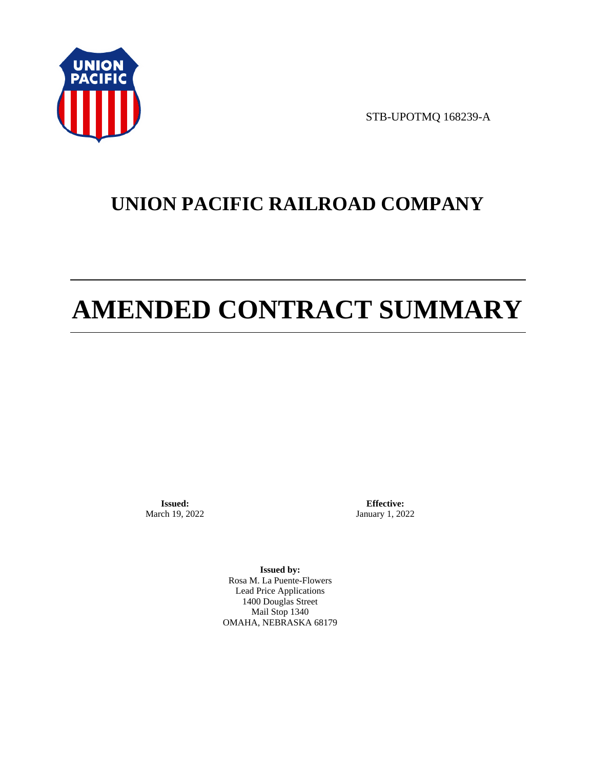

STB-UPOTMQ 168239-A

# **UNION PACIFIC RAILROAD COMPANY**

# **AMENDED CONTRACT SUMMARY**

**Issued:**  March 19, 2022

**Effective:** January 1, 2022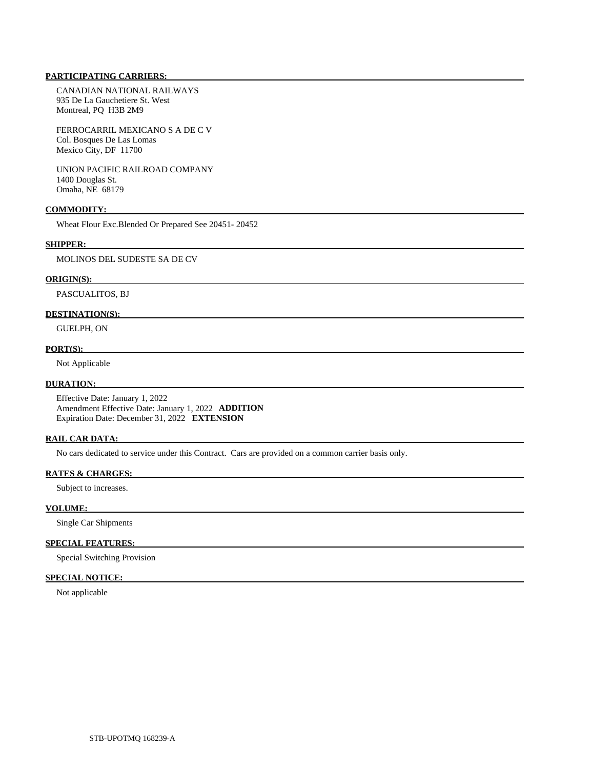CANADIAN NATIONAL RAILWAYS 935 De La Gauchetiere St. West Montreal, PQ H3B 2M9

 FERROCARRIL MEXICANO S A DE C V Col. Bosques De Las Lomas Mexico City, DF 11700

 UNION PACIFIC RAILROAD COMPANY 1400 Douglas St. Omaha, NE 68179

#### **COMMODITY:**

Wheat Flour Exc.Blended Or Prepared See 20451- 20452

#### **SHIPPER:**

MOLINOS DEL SUDESTE SA DE CV

#### **ORIGIN(S):**

PASCUALITOS, BJ

## **DESTINATION(S):**

GUELPH, ON

# **PORT(S):**

Not Applicable

### **DURATION:**

 Effective Date: January 1, 2022 Amendment Effective Date: January 1, 2022 **ADDITION**  Expiration Date: December 31, 2022 **EXTENSION** 

# **RAIL CAR DATA:**

No cars dedicated to service under this Contract. Cars are provided on a common carrier basis only.

#### **RATES & CHARGES:**

Subject to increases.

#### **VOLUME:**

Single Car Shipments

# **SPECIAL FEATURES:**

Special Switching Provision

# **SPECIAL NOTICE:**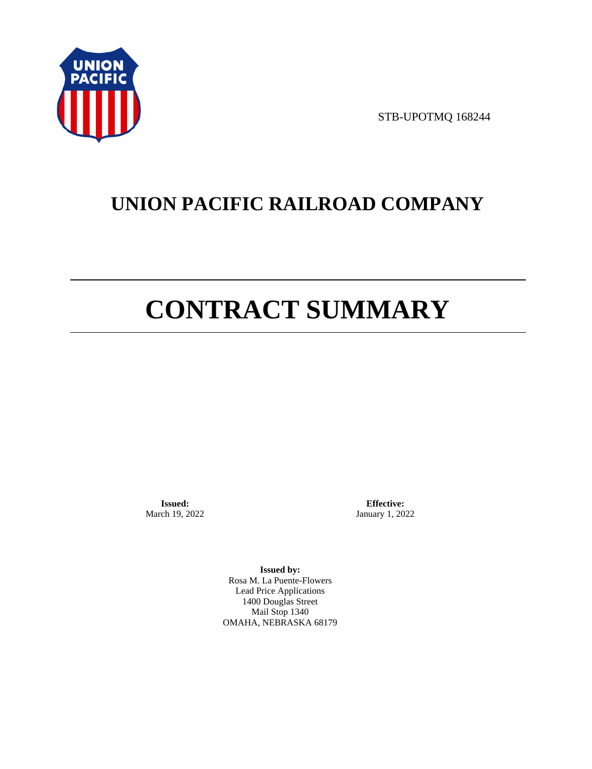

STB-UPOTMQ 168244

# **UNION PACIFIC RAILROAD COMPANY**

# **CONTRACT SUMMARY**

**Issued:**  March 19, 2022

**Effective:** January 1, 2022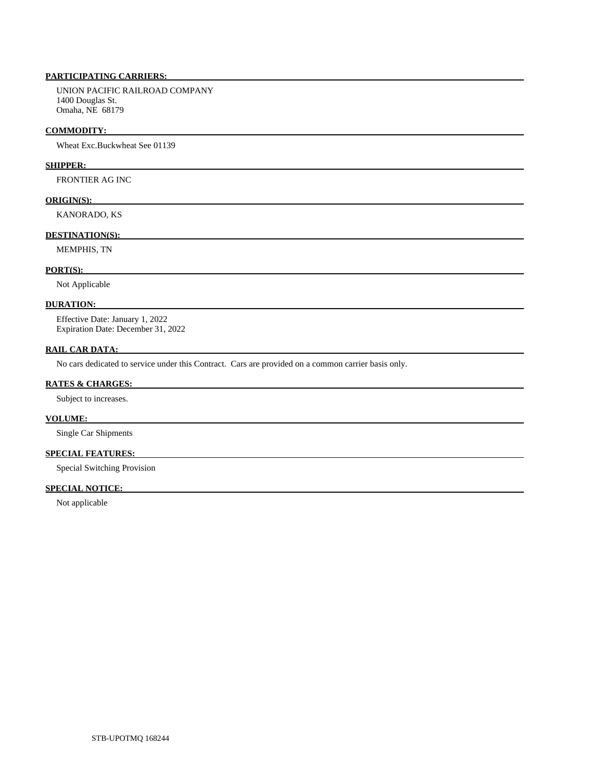UNION PACIFIC RAILROAD COMPANY 1400 Douglas St. Omaha, NE 68179

#### **COMMODITY:**

Wheat Exc.Buckwheat See 01139

# **SHIPPER:**

FRONTIER AG INC

# **ORIGIN(S):**

KANORADO, KS

# **DESTINATION(S):**

MEMPHIS, TN

# **PORT(S):**

Not Applicable

#### **DURATION:**

 Effective Date: January 1, 2022 Expiration Date: December 31, 2022

# **RAIL CAR DATA:**

No cars dedicated to service under this Contract. Cars are provided on a common carrier basis only.

### **RATES & CHARGES:**

Subject to increases.

# **VOLUME:**

Single Car Shipments

# **SPECIAL FEATURES:**

Special Switching Provision

# **SPECIAL NOTICE:**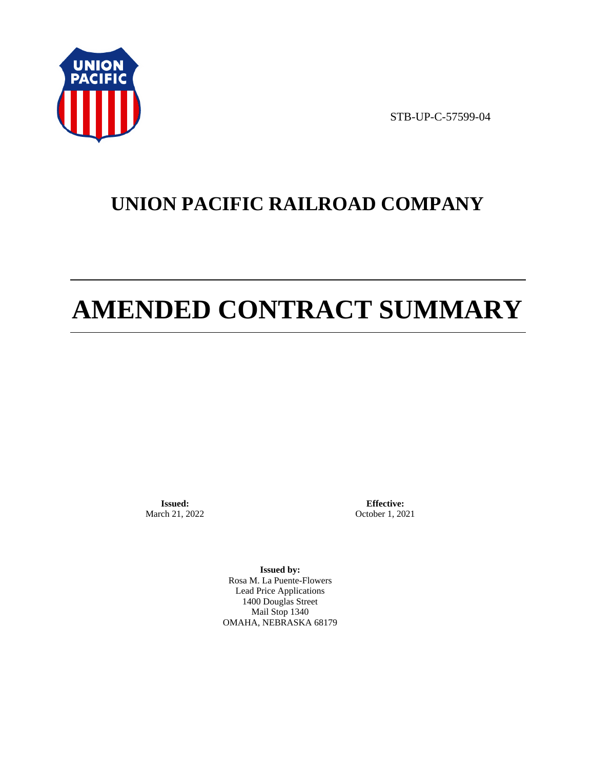

STB-UP-C-57599-04

# **UNION PACIFIC RAILROAD COMPANY**

# **AMENDED CONTRACT SUMMARY**

**Issued:**  March 21, 2022

**Effective:** October 1, 2021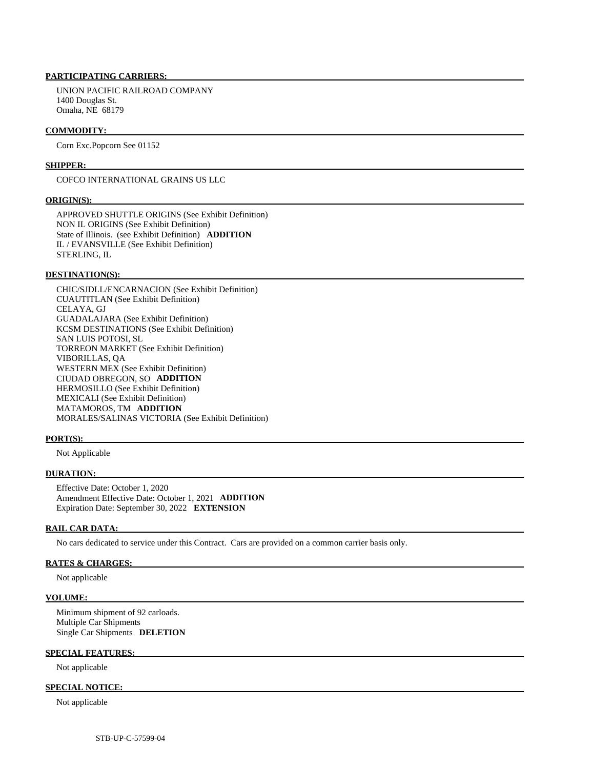UNION PACIFIC RAILROAD COMPANY 1400 Douglas St. Omaha, NE 68179

#### **COMMODITY:**

Corn Exc.Popcorn See 01152

#### **SHIPPER:**

COFCO INTERNATIONAL GRAINS US LLC

#### **ORIGIN(S):**

 APPROVED SHUTTLE ORIGINS (See Exhibit Definition) NON IL ORIGINS (See Exhibit Definition) State of Illinois. (see Exhibit Definition) **ADDITION**  IL / EVANSVILLE (See Exhibit Definition) STERLING, IL

#### **DESTINATION(S):**

 CHIC/SJDLL/ENCARNACION (See Exhibit Definition) CUAUTITLAN (See Exhibit Definition) CELAYA, GJ GUADALAJARA (See Exhibit Definition) KCSM DESTINATIONS (See Exhibit Definition) SAN LUIS POTOSI, SL TORREON MARKET (See Exhibit Definition) VIBORILLAS, QA WESTERN MEX (See Exhibit Definition) CIUDAD OBREGON, SO **ADDITION**  HERMOSILLO (See Exhibit Definition) MEXICALI (See Exhibit Definition) MATAMOROS, TM **ADDITION**  MORALES/SALINAS VICTORIA (See Exhibit Definition)

#### **PORT(S):**

Not Applicable

#### **DURATION:**

 Effective Date: October 1, 2020 Amendment Effective Date: October 1, 2021 **ADDITION**  Expiration Date: September 30, 2022 **EXTENSION** 

# **RAIL CAR DATA:**

No cars dedicated to service under this Contract. Cars are provided on a common carrier basis only.

#### **RATES & CHARGES:**

Not applicable

#### **VOLUME:**

 Minimum shipment of 92 carloads. Multiple Car Shipments Single Car Shipments **DELETION** 

#### **SPECIAL FEATURES:**

Not applicable

## **SPECIAL NOTICE:**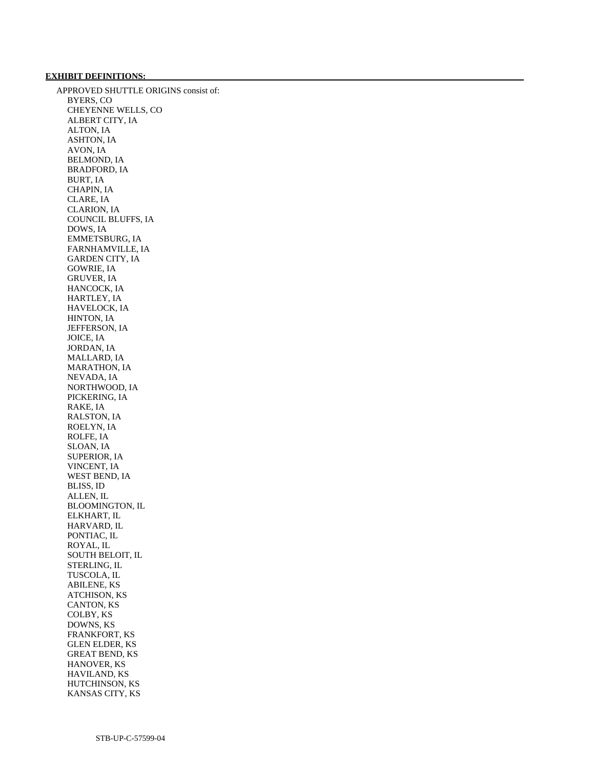# **EXHIBIT DEFINITIONS:**

 APPROVED SHUTTLE ORIGINS consist of: BYERS, CO CHEYENNE WELLS, CO ALBERT CITY, IA ALTON, IA ASHTON, IA AVON, IA BELMOND, IA BRADFORD, IA BURT, IA CHAPIN, IA CLARE, IA CLARION, IA COUNCIL BLUFFS, IA DOWS, IA EMMETSBURG, IA FARNHAMVILLE, IA GARDEN CITY, IA GOWRIE, IA GRUVER, IA HANCOCK, IA HARTLEY, IA HAVELOCK, IA HINTON, IA JEFFERSON, IA JOICE, IA JORDAN, IA MALLARD, IA MARATHON, IA NEVADA, IA NORTHWOOD, IA PICKERING, IA RAKE, IA RALSTON, IA ROELYN, IA ROLFE, IA SLOAN, IA SUPERIOR, IA VINCENT, IA WEST BEND, IA BLISS, ID ALLEN, IL BLOOMINGTON, IL ELKHART, IL HARVARD, IL PONTIAC, IL ROYAL, IL SOUTH BELOIT, IL STERLING, IL TUSCOLA, IL ABILENE, KS ATCHISON, KS CANTON, KS COLBY, KS DOWNS, KS FRANKFORT, KS GLEN ELDER, KS GREAT BEND, KS HANOVER, KS HAVILAND, KS HUTCHINSON, KS KANSAS CITY, KS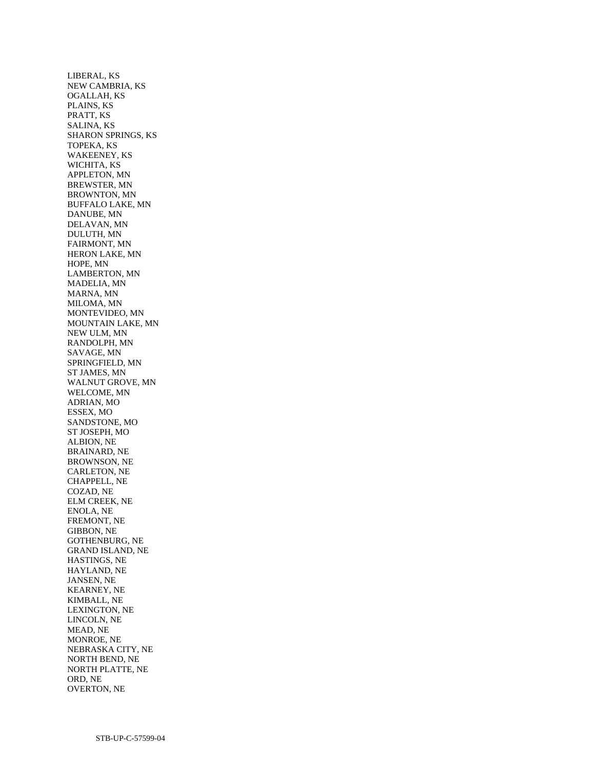LIBERAL, KS NEW CAMBRIA, KS OGALLAH, KS PLAINS, KS PRATT, KS SALINA, KS SHARON SPRINGS, KS TOPEKA, KS WAKEENEY, KS WICHITA, KS APPLETON, MN BREWSTER, MN BROWNTON, MN BUFFALO LAKE, MN DANUBE, MN DELAVAN, MN DULUTH, MN FAIRMONT, MN HERON LAKE, MN HOPE, MN LAMBERTON, MN MADELIA, MN MARNA, MN MILOMA, MN MONTEVIDEO, MN MOUNTAIN LAKE, MN NEW ULM, MN RANDOLPH, MN SAVAGE, MN SPRINGFIELD, MN ST JAMES, MN WALNUT GROVE, MN WELCOME, MN ADRIAN, MO ESSEX, MO SANDSTONE, MO ST JOSEPH, MO ALBION, NE BRAINARD, NE BROWNSON, NE CARLETON, NE CHAPPELL, NE COZAD, NE ELM CREEK, NE ENOLA, NE FREMONT, NE GIBBON, NE GOTHENBURG, NE GRAND ISLAND, NE HASTINGS, NE HAYLAND, NE JANSEN, NE KEARNEY, NE KIMBALL, NE LEXINGTON, NE LINCOLN, NE MEAD, NE MONROE, NE NEBRASKA CITY, NE NORTH BEND, NE NORTH PLATTE, NE ORD, NE OVERTON, NE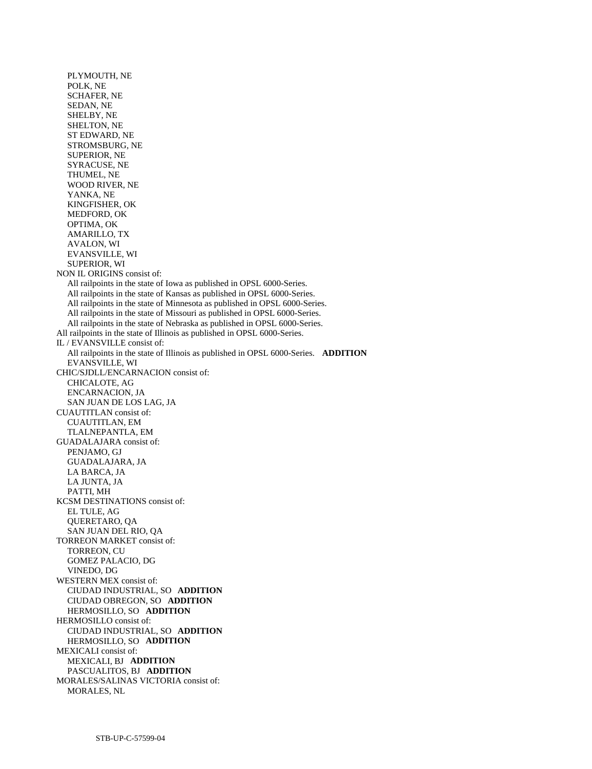PLYMOUTH, NE POLK, NE SCHAFER, NE SEDAN, NE SHELBY, NE SHELTON, NE ST EDWARD, NE STROMSBURG, NE SUPERIOR, NE SYRACUSE, NE THUMEL, NE WOOD RIVER, NE YANKA, NE KINGFISHER, OK MEDFORD, OK OPTIMA, OK AMARILLO, TX AVALON, WI EVANSVILLE, WI SUPERIOR, WI NON IL ORIGINS consist of: All railpoints in the state of Iowa as published in OPSL 6000-Series. All railpoints in the state of Kansas as published in OPSL 6000-Series. All railpoints in the state of Minnesota as published in OPSL 6000-Series. All railpoints in the state of Missouri as published in OPSL 6000-Series. All railpoints in the state of Nebraska as published in OPSL 6000-Series. All railpoints in the state of Illinois as published in OPSL 6000-Series. IL / EVANSVILLE consist of: All railpoints in the state of Illinois as published in OPSL 6000-Series. **ADDITION**  EVANSVILLE, WI CHIC/SJDLL/ENCARNACION consist of: CHICALOTE, AG ENCARNACION, JA SAN JUAN DE LOS LAG, JA CUAUTITLAN consist of: CUAUTITLAN, EM TLALNEPANTLA, EM GUADALAJARA consist of: PENJAMO, GJ GUADALAJARA, JA LA BARCA, JA LA JUNTA, JA PATTI, MH KCSM DESTINATIONS consist of: EL TULE, AG QUERETARO, QA SAN JUAN DEL RIO, QA TORREON MARKET consist of: TORREON, CU GOMEZ PALACIO, DG VINEDO, DG WESTERN MEX consist of: CIUDAD INDUSTRIAL, SO **ADDITION**  CIUDAD OBREGON, SO **ADDITION**  HERMOSILLO, SO **ADDITION**  HERMOSILLO consist of: CIUDAD INDUSTRIAL, SO **ADDITION**  HERMOSILLO, SO **ADDITION**  MEXICALI consist of: MEXICALI, BJ **ADDITION**  PASCUALITOS, BJ **ADDITION**  MORALES/SALINAS VICTORIA consist of: MORALES, NL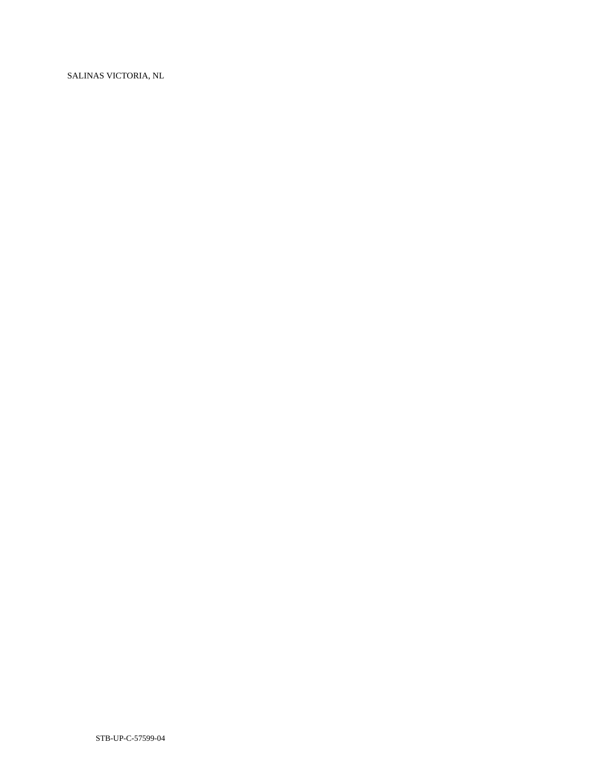SALINAS VICTORIA, NL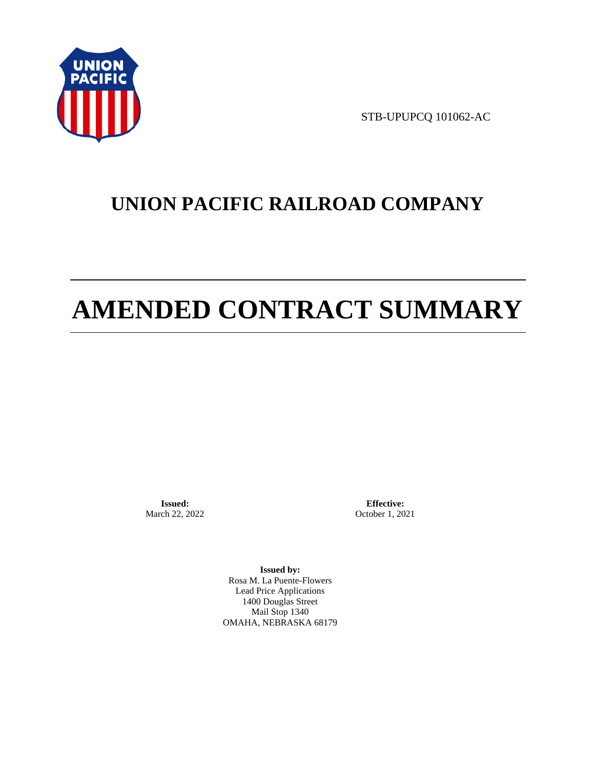

STB-UPUPCQ 101062-AC

# **UNION PACIFIC RAILROAD COMPANY**

# **AMENDED CONTRACT SUMMARY**

**Issued:**  March 22, 2022

**Effective:** October 1, 2021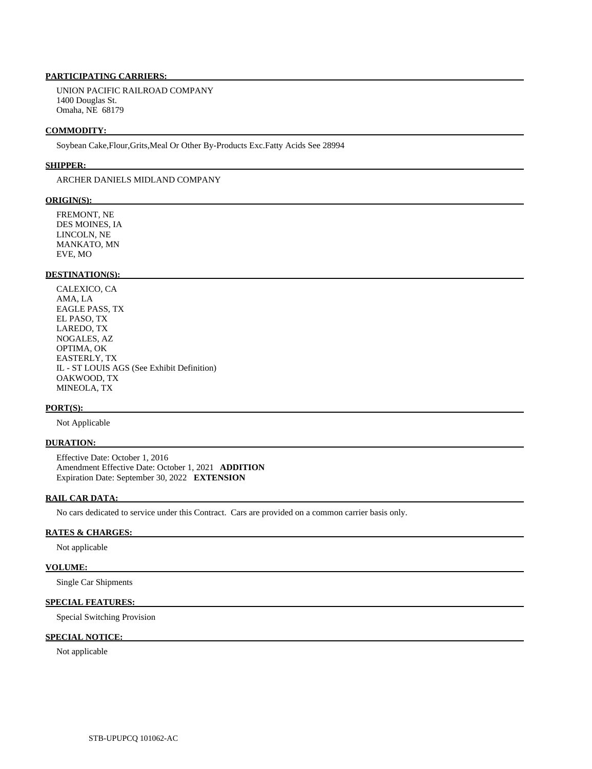UNION PACIFIC RAILROAD COMPANY 1400 Douglas St. Omaha, NE 68179

#### **COMMODITY:**

Soybean Cake,Flour,Grits,Meal Or Other By-Products Exc.Fatty Acids See 28994

#### **SHIPPER:**

ARCHER DANIELS MIDLAND COMPANY

#### **ORIGIN(S):**

 FREMONT, NE DES MOINES, IA LINCOLN, NE MANKATO, MN EVE, MO

# **DESTINATION(S):**

 CALEXICO, CA AMA, LA EAGLE PASS, TX EL PASO, TX LAREDO, TX NOGALES, AZ OPTIMA, OK EASTERLY, TX IL - ST LOUIS AGS (See Exhibit Definition) OAKWOOD, TX MINEOLA, TX

#### **PORT(S):**

Not Applicable

#### **DURATION:**

 Effective Date: October 1, 2016 Amendment Effective Date: October 1, 2021 **ADDITION**  Expiration Date: September 30, 2022 **EXTENSION** 

# **RAIL CAR DATA:**

No cars dedicated to service under this Contract. Cars are provided on a common carrier basis only.

#### **RATES & CHARGES:**

Not applicable

#### **VOLUME:**

Single Car Shipments

# **SPECIAL FEATURES:**

Special Switching Provision

# **SPECIAL NOTICE:**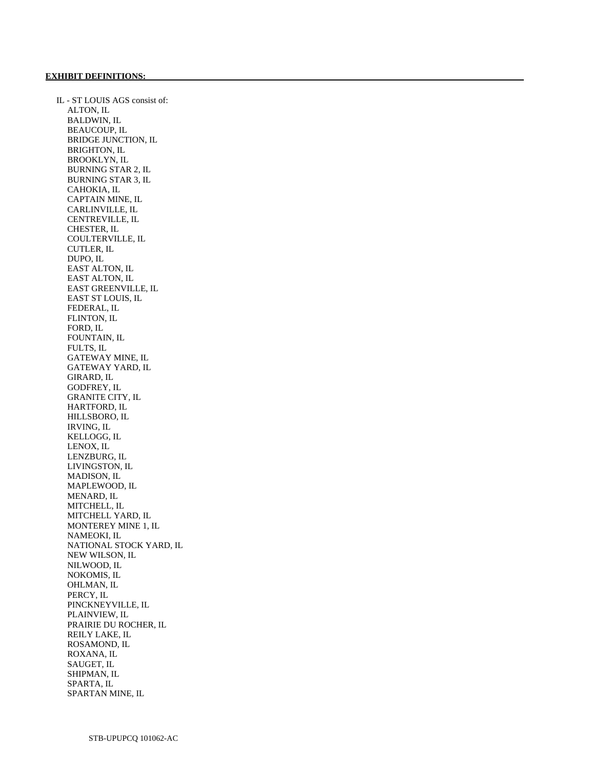IL - ST LOUIS AGS consist of: ALTON, IL BALDWIN, IL BEAUCOUP, IL BRIDGE JUNCTION, IL BRIGHTON, IL BROOKLYN, IL BURNING STAR 2, IL BURNING STAR 3, IL CAHOKIA, IL CAPTAIN MINE, IL CARLINVILLE, IL CENTREVILLE, IL CHESTER, IL COULTERVILLE, IL CUTLER, IL DUPO, IL EAST ALTON, IL EAST ALTON, IL EAST GREENVILLE, IL EAST ST LOUIS, IL FEDERAL, IL FLINTON, IL FORD, IL FOUNTAIN, IL FULTS, IL GATEWAY MINE, IL GATEWAY YARD, IL GIRARD, IL GODFREY, IL GRANITE CITY, IL HARTFORD, IL HILLSBORO, IL IRVING, IL KELLOGG, IL LENOX, IL LENZBURG, IL LIVINGSTON, IL MADISON, IL MAPLEWOOD, IL MENARD, IL MITCHELL, IL MITCHELL YARD, IL MONTEREY MINE 1, IL NAMEOKI, IL NATIONAL STOCK YARD, IL NEW WILSON, IL NILWOOD, IL NOKOMIS, IL OHLMAN, IL PERCY, IL PINCKNEYVILLE, IL PLAINVIEW, IL PRAIRIE DU ROCHER, IL REILY LAKE, IL ROSAMOND, IL ROXANA, IL SAUGET, IL SHIPMAN, IL SPARTA, IL SPARTAN MINE, IL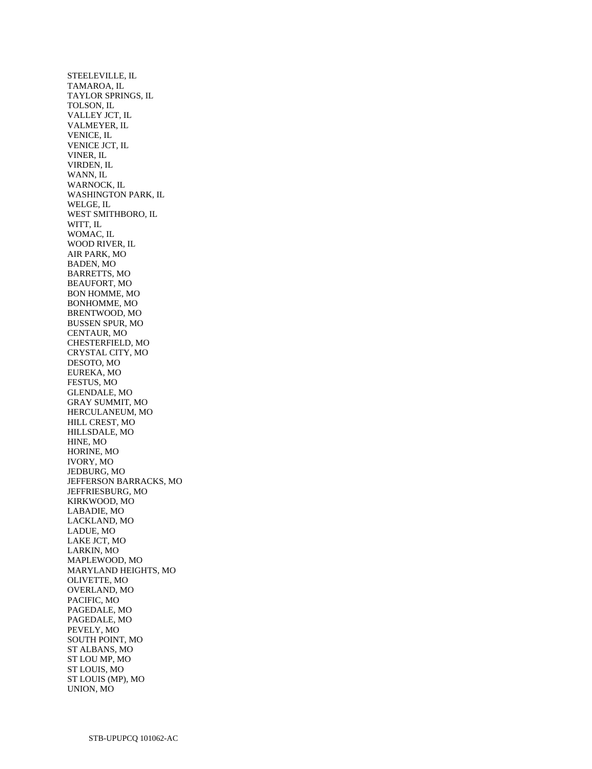STEELEVILLE, IL TAMAROA, IL TAYLOR SPRINGS, IL TOLSON, IL VALLEY JCT, IL VALMEYER, IL VENICE, IL VENICE JCT, IL VINER, IL VIRDEN, IL WANN, IL WARNOCK, IL WASHINGTON PARK, IL WELGE, IL WEST SMITHBORO, IL WITT, IL WOMAC, IL WOOD RIVER, IL AIR PARK, MO BADEN, MO BARRETTS, MO BEAUFORT, MO BON HOMME, MO BONHOMME, MO BRENTWOOD, MO BUSSEN SPUR, MO CENTAUR, MO CHESTERFIELD, MO CRYSTAL CITY, MO DESOTO, MO EUREKA, MO FESTUS, MO GLENDALE, MO GRAY SUMMIT, MO HERCULANEUM, MO HILL CREST, MO HILLSDALE, MO HINE, MO HORINE, MO IVORY, MO JEDBURG, MO JEFFERSON BARRACKS, MO JEFFRIESBURG, MO KIRKWOOD, MO LABADIE, MO LACKLAND, MO LADUE, MO LAKE JCT, MO LARKIN, MO MAPLEWOOD, MO MARYLAND HEIGHTS, MO OLIVETTE, MO OVERLAND, MO PACIFIC, MO PAGEDALE, MO PAGEDALE, MO PEVELY, MO SOUTH POINT, MO ST ALBANS, MO ST LOU MP, MO ST LOUIS, MO ST LOUIS (MP), MO UNION, MO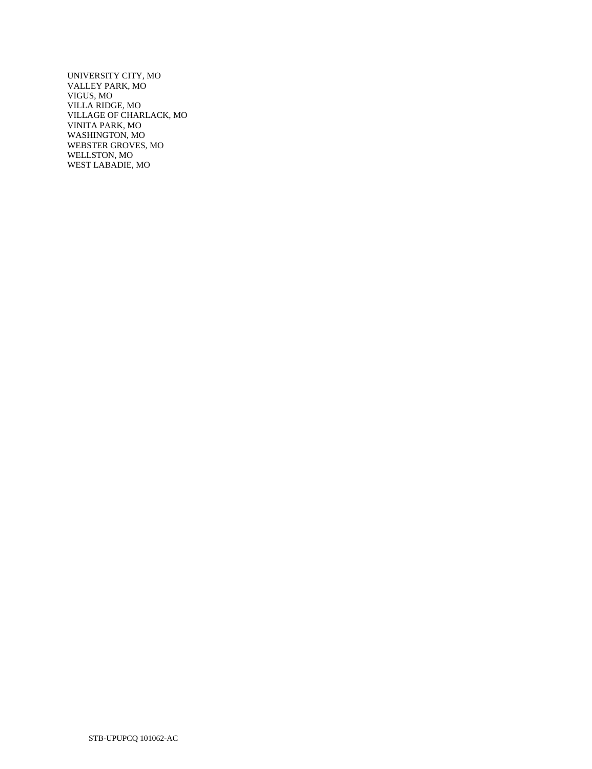UNIVERSITY CITY, MO VALLEY PARK, MO VIGUS, MO VILLA RIDGE, MO VILLAGE OF CHARLACK, MO VINITA PARK, MO WASHINGTON, MO WEBSTER GROVES, MO WELLSTON, MO WEST LABADIE, MO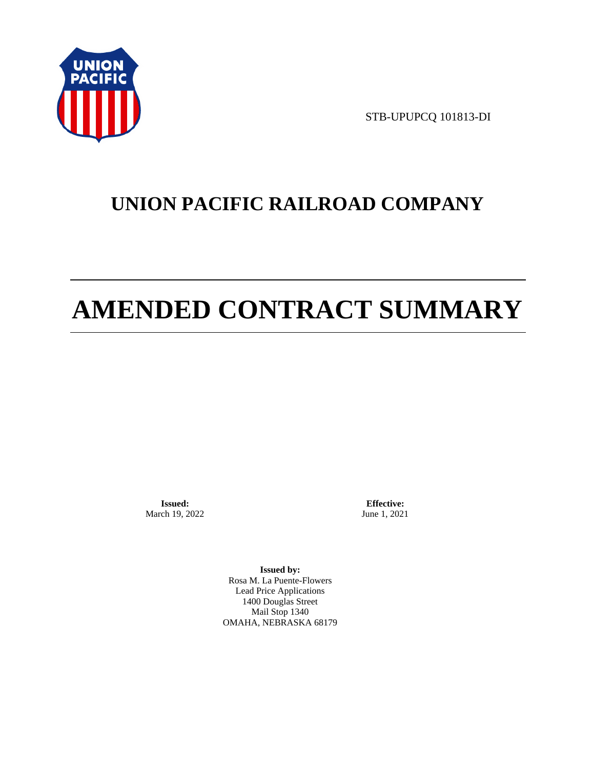

STB-UPUPCQ 101813-DI

# **UNION PACIFIC RAILROAD COMPANY**

# **AMENDED CONTRACT SUMMARY**

**Issued:**  March 19, 2022

**Effective:** June 1, 2021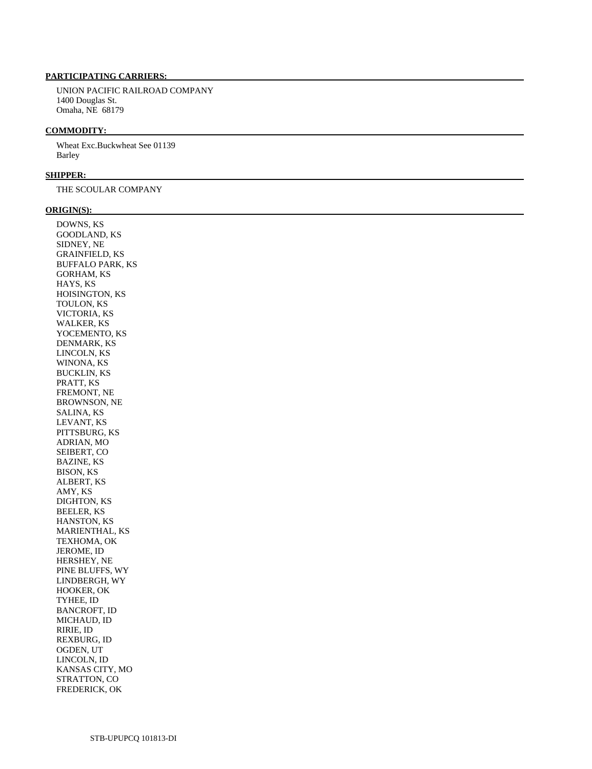UNION PACIFIC RAILROAD COMPANY 1400 Douglas St. Omaha, NE 68179

#### **COMMODITY:**

 Wheat Exc.Buckwheat See 01139 Barley

#### **SHIPPER:**

THE SCOULAR COMPANY

#### **ORIGIN(S):**

 DOWNS, KS GOODLAND, KS SIDNEY, NE GRAINFIELD, KS BUFFALO PARK, KS GORHAM, KS HAYS, KS HOISINGTON, KS TOULON, KS VICTORIA, KS WALKER, KS YOCEMENTO, KS DENMARK, KS LINCOLN, KS WINONA, KS BUCKLIN, KS PRATT, KS FREMONT, NE BROWNSON, NE SALINA, KS LEVANT, KS PITTSBURG, KS ADRIAN, MO SEIBERT, CO BAZINE, KS BISON, KS ALBERT, KS AMY, KS DIGHTON, KS BEELER, KS HANSTON, KS MARIENTHAL, KS TEXHOMA, OK JEROME, ID HERSHEY, NE PINE BLUFFS, WY LINDBERGH, WY HOOKER, OK TYHEE, ID BANCROFT, ID MICHAUD, ID RIRIE, ID REXBURG, ID OGDEN, UT LINCOLN, ID KANSAS CITY, MO STRATTON, CO FREDERICK, OK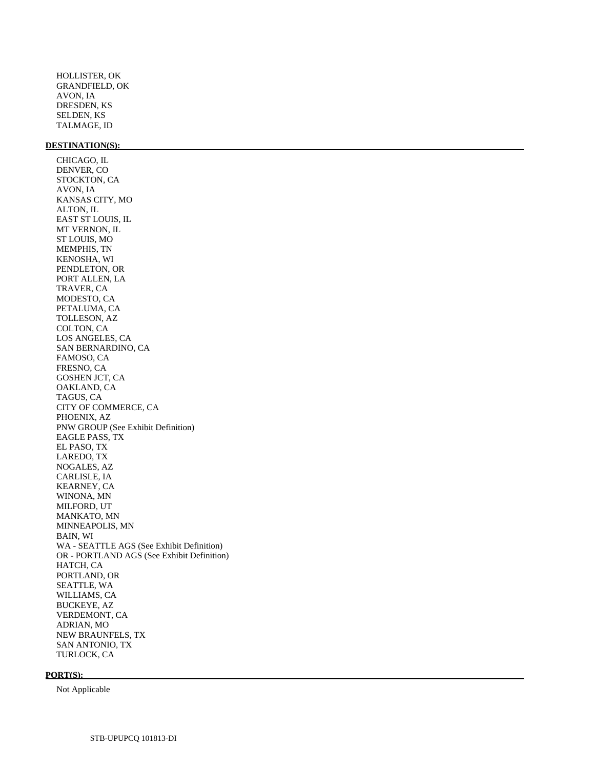HOLLISTER, OK GRANDFIELD, OK AVON, IA DRESDEN, KS SELDEN, KS TALMAGE, ID

#### **DESTINATION(S):**

 CHICAGO, IL DENVER, CO STOCKTON, CA AVON, IA KANSAS CITY, MO ALTON, IL EAST ST LOUIS, IL MT VERNON, IL ST LOUIS, MO MEMPHIS, TN KENOSHA, WI PENDLETON, OR PORT ALLEN, LA TRAVER, CA MODESTO, CA PETALUMA, CA TOLLESON, AZ COLTON, CA LOS ANGELES, CA SAN BERNARDINO, CA FAMOSO, CA FRESNO, CA GOSHEN JCT, CA OAKLAND, CA TAGUS, CA CITY OF COMMERCE, CA PHOENIX, AZ PNW GROUP (See Exhibit Definition) EAGLE PASS, TX EL PASO, TX LAREDO, TX NOGALES, AZ CARLISLE, IA KEARNEY, CA WINONA, MN MILFORD, UT MANKATO, MN MINNEAPOLIS, MN BAIN, WI WA - SEATTLE AGS (See Exhibit Definition) OR - PORTLAND AGS (See Exhibit Definition) HATCH, CA PORTLAND, OR SEATTLE, WA WILLIAMS, CA BUCKEYE, AZ VERDEMONT, CA ADRIAN, MO NEW BRAUNFELS, TX SAN ANTONIO, TX

#### **PORT(S):**

Not Applicable

TURLOCK, CA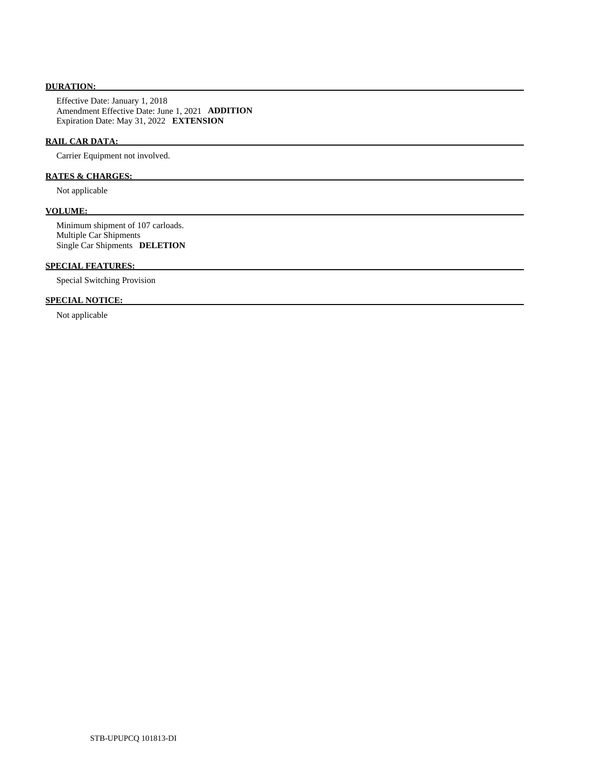# **DURATION:**

 Effective Date: January 1, 2018 Amendment Effective Date: June 1, 2021 **ADDITION**  Expiration Date: May 31, 2022 **EXTENSION** 

# **RAIL CAR DATA:**

Carrier Equipment not involved.

# **RATES & CHARGES:**

Not applicable

# **VOLUME:**

 Minimum shipment of 107 carloads. Multiple Car Shipments Single Car Shipments **DELETION** 

# **SPECIAL FEATURES:**

Special Switching Provision

# **SPECIAL NOTICE:**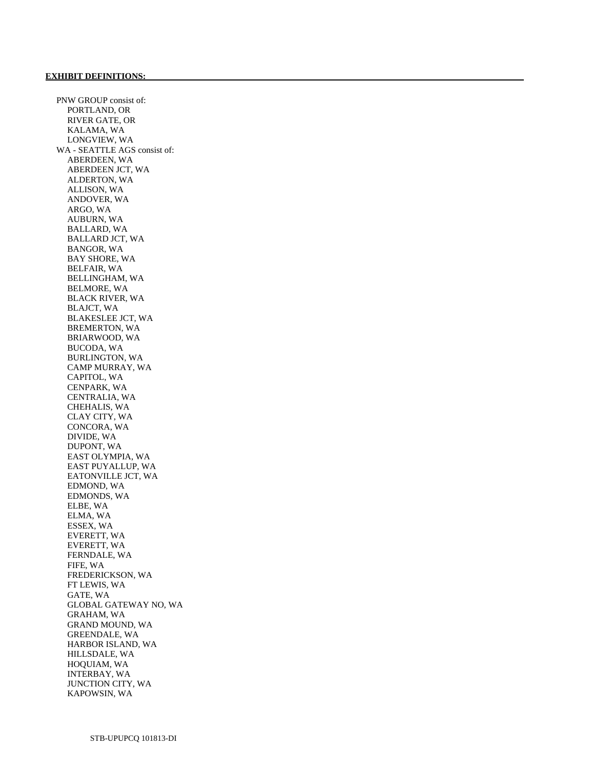PNW GROUP consist of: PORTLAND, OR RIVER GATE, OR KALAMA, WA LONGVIEW, WA WA - SEATTLE AGS consist of: ABERDEEN, WA ABERDEEN JCT, WA ALDERTON, WA ALLISON, WA ANDOVER, WA ARGO, WA AUBURN, WA BALLARD, WA BALLARD JCT, WA BANGOR, WA BAY SHORE, WA BELFAIR, WA BELLINGHAM, WA BELMORE, WA BLACK RIVER, WA BLAJCT, WA BLAKESLEE JCT, WA BREMERTON, WA BRIARWOOD, WA BUCODA, WA BURLINGTON, WA CAMP MURRAY, WA CAPITOL, WA CENPARK, WA CENTRALIA, WA CHEHALIS, WA CLAY CITY, WA CONCORA, WA DIVIDE, WA DUPONT, WA EAST OLYMPIA, WA EAST PUYALLUP, WA EATONVILLE JCT, WA EDMOND, WA EDMONDS, WA ELBE, WA ELMA, WA ESSEX, WA EVERETT, WA EVERETT, WA FERNDALE, WA FIFE, WA FREDERICKSON, WA FT LEWIS, WA GATE, WA GLOBAL GATEWAY NO, WA GRAHAM, WA GRAND MOUND, WA GREENDALE, WA HARBOR ISLAND, WA HILLSDALE, WA HOQUIAM, WA INTERBAY, WA JUNCTION CITY, WA KAPOWSIN, WA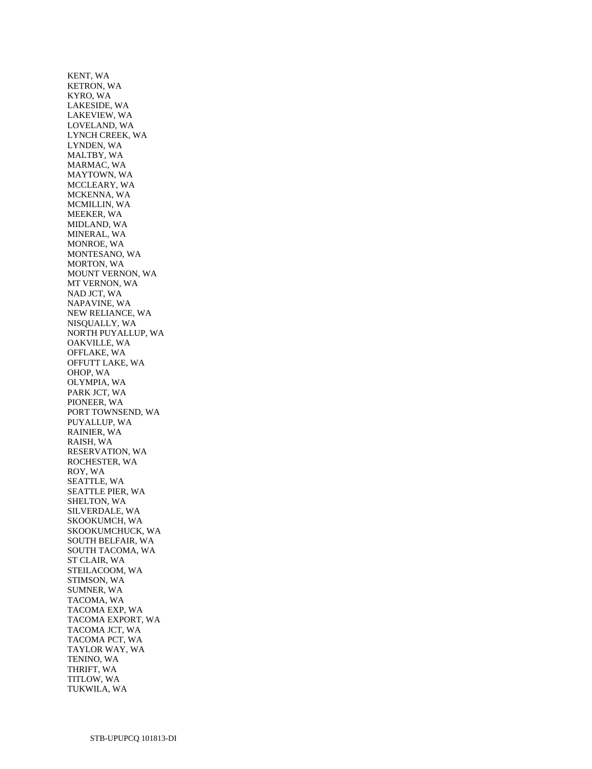KENT, WA KETRON, WA KYRO, WA LAKESIDE, WA LAKEVIEW, WA LOVELAND, WA LYNCH CREEK, WA LYNDEN, WA MALTBY, WA MARMAC, WA MAYTOWN, WA MCCLEARY, WA MCKENNA, WA MCMILLIN, WA MEEKER, WA MIDLAND, WA MINERAL, WA MONROE, WA MONTESANO, WA MORTON, WA MOUNT VERNON, WA MT VERNON, WA NAD JCT, WA NAPAVINE, WA NEW RELIANCE, WA NISQUALLY, WA NORTH PUYALLUP, WA OAKVILLE, WA OFFLAKE, WA OFFUTT LAKE, WA OHOP, WA OLYMPIA, WA PARK JCT, WA PIONEER, WA PORT TOWNSEND, WA PUYALLUP, WA RAINIER, WA RAISH, WA RESERVATION, WA ROCHESTER, WA ROY, WA SEATTLE, WA SEATTLE PIER, WA SHELTON, WA SILVERDALE, WA SKOOKUMCH, WA SKOOKUMCHUCK, WA SOUTH BELFAIR, WA SOUTH TACOMA, WA ST CLAIR, WA STEILACOOM, WA STIMSON, WA SUMNER, WA TACOMA, WA TACOMA EXP, WA TACOMA EXPORT, WA TACOMA JCT, WA TACOMA PCT, WA TAYLOR WAY, WA TENINO, WA THRIFT, WA TITLOW, WA TUKWILA, WA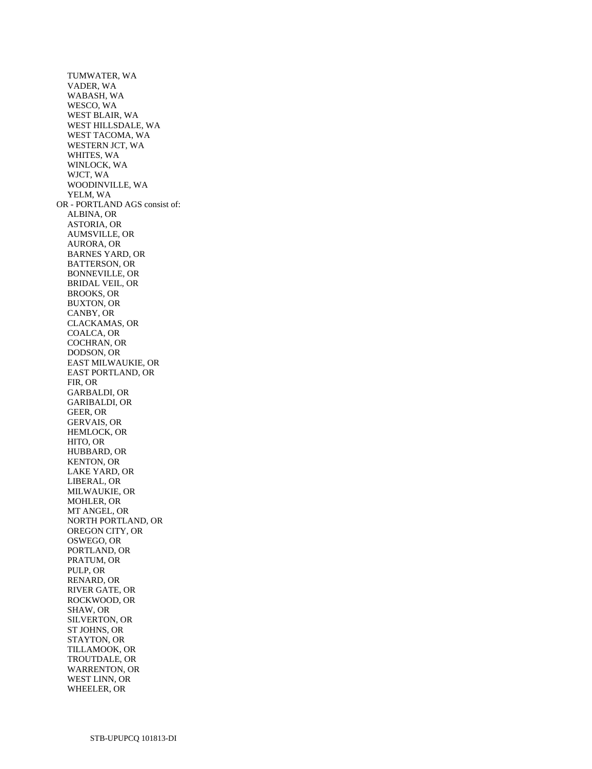TUMWATER, WA VADER, WA WABASH, WA WESCO, WA WEST BLAIR, WA WEST HILLSDALE, WA WEST TACOMA, WA WESTERN JCT, WA WHITES, WA WINLOCK, WA WJCT, WA WOODINVILLE, WA YELM, WA OR - PORTLAND AGS consist of: ALBINA, OR ASTORIA, OR AUMSVILLE, OR AURORA, OR BARNES YARD, OR BATTERSON, OR BONNEVILLE, OR BRIDAL VEIL, OR BROOKS, OR BUXTON, OR CANBY, OR CLACKAMAS, OR COALCA, OR COCHRAN, OR DODSON, OR EAST MILWAUKIE, OR EAST PORTLAND, OR FIR, OR GARBALDI, OR GARIBALDI, OR GEER, OR GERVAIS, OR HEMLOCK, OR HITO, OR HUBBARD, OR KENTON, OR LAKE YARD, OR LIBERAL, OR MILWAUKIE, OR MOHLER, OR MT ANGEL, OR NORTH PORTLAND, OR OREGON CITY, OR OSWEGO, OR PORTLAND, OR PRATUM, OR PULP, OR RENARD, OR RIVER GATE, OR ROCKWOOD, OR SHAW, OR SILVERTON, OR ST JOHNS, OR STAYTON, OR TILLAMOOK, OR TROUTDALE, OR WARRENTON, OR WEST LINN, OR WHEELER, OR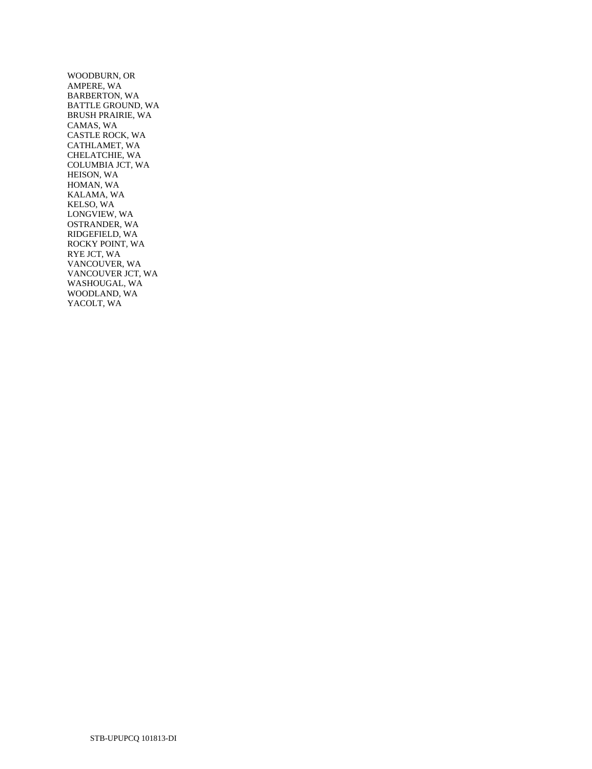WOODBURN, OR AMPERE, WA BARBERTON, WA BATTLE GROUND, WA BRUSH PRAIRIE, WA CAMAS, WA CASTLE ROCK, WA CATHLAMET, WA CHELATCHIE, WA COLUMBIA JCT, WA HEISON, WA HOMAN, WA KALAMA, WA KELSO, WA LONGVIEW, WA OSTRANDER, WA RIDGEFIELD, WA ROCKY POINT, WA RYE JCT, WA VANCOUVER, WA VANCOUVER JCT, WA WASHOUGAL, WA WOODLAND, WA YACOLT, WA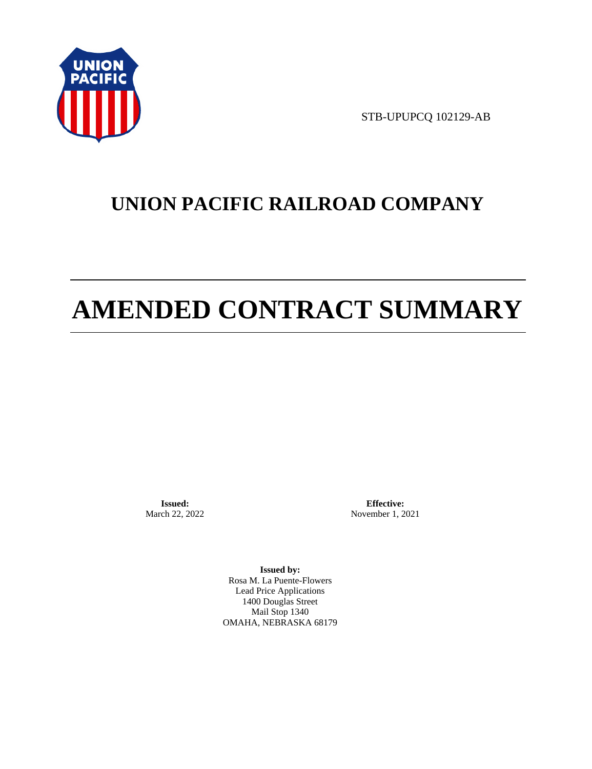

STB-UPUPCQ 102129-AB

# **UNION PACIFIC RAILROAD COMPANY**

# **AMENDED CONTRACT SUMMARY**

**Issued:**  March 22, 2022

**Effective:** November 1, 2021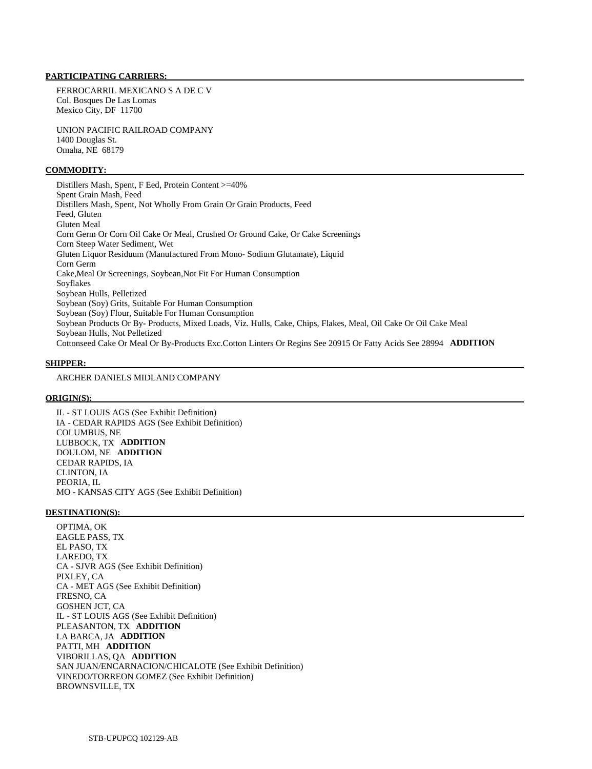FERROCARRIL MEXICANO S A DE C V Col. Bosques De Las Lomas Mexico City, DF 11700

 UNION PACIFIC RAILROAD COMPANY 1400 Douglas St. Omaha, NE 68179

#### **COMMODITY:**

 Distillers Mash, Spent, F Eed, Protein Content >=40% Spent Grain Mash, Feed Distillers Mash, Spent, Not Wholly From Grain Or Grain Products, Feed Feed, Gluten Gluten Meal Corn Germ Or Corn Oil Cake Or Meal, Crushed Or Ground Cake, Or Cake Screenings Corn Steep Water Sediment, Wet Gluten Liquor Residuum (Manufactured From Mono- Sodium Glutamate), Liquid Corn Germ Cake,Meal Or Screenings, Soybean,Not Fit For Human Consumption Soyflakes Soybean Hulls, Pelletized Soybean (Soy) Grits, Suitable For Human Consumption Soybean (Soy) Flour, Suitable For Human Consumption Soybean Products Or By- Products, Mixed Loads, Viz. Hulls, Cake, Chips, Flakes, Meal, Oil Cake Or Oil Cake Meal Soybean Hulls, Not Pelletized Cottonseed Cake Or Meal Or By-Products Exc.Cotton Linters Or Regins See 20915 Or Fatty Acids See 28994 **ADDITION** 

#### **SHIPPER:**

# ARCHER DANIELS MIDLAND COMPANY

#### **ORIGIN(S):**

 IL - ST LOUIS AGS (See Exhibit Definition) IA - CEDAR RAPIDS AGS (See Exhibit Definition) COLUMBUS, NE LUBBOCK, TX **ADDITION**  DOULOM, NE **ADDITION**  CEDAR RAPIDS, IA CLINTON, IA PEORIA, IL MO - KANSAS CITY AGS (See Exhibit Definition)

#### **DESTINATION(S):**

 OPTIMA, OK EAGLE PASS, TX EL PASO, TX LAREDO, TX CA - SJVR AGS (See Exhibit Definition) PIXLEY, CA CA - MET AGS (See Exhibit Definition) FRESNO, CA GOSHEN JCT, CA IL - ST LOUIS AGS (See Exhibit Definition) PLEASANTON, TX **ADDITION**  LA BARCA, JA **ADDITION**  PATTI, MH **ADDITION**  VIBORILLAS, QA **ADDITION**  SAN JUAN/ENCARNACION/CHICALOTE (See Exhibit Definition) VINEDO/TORREON GOMEZ (See Exhibit Definition) BROWNSVILLE, TX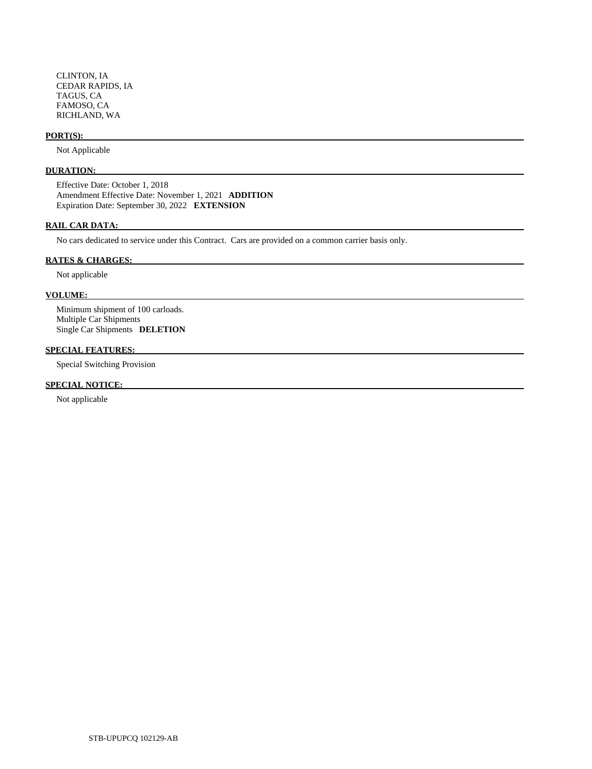CLINTON, IA CEDAR RAPIDS, IA TAGUS, CA FAMOSO, CA RICHLAND, WA

#### **PORT(S):**

Not Applicable

# **DURATION:**

 Effective Date: October 1, 2018 Amendment Effective Date: November 1, 2021 **ADDITION**  Expiration Date: September 30, 2022 **EXTENSION** 

# **RAIL CAR DATA:**

No cars dedicated to service under this Contract. Cars are provided on a common carrier basis only.

# **RATES & CHARGES:**

Not applicable

# **VOLUME:**

 Minimum shipment of 100 carloads. Multiple Car Shipments Single Car Shipments **DELETION** 

# **SPECIAL FEATURES:**

Special Switching Provision

# **SPECIAL NOTICE:**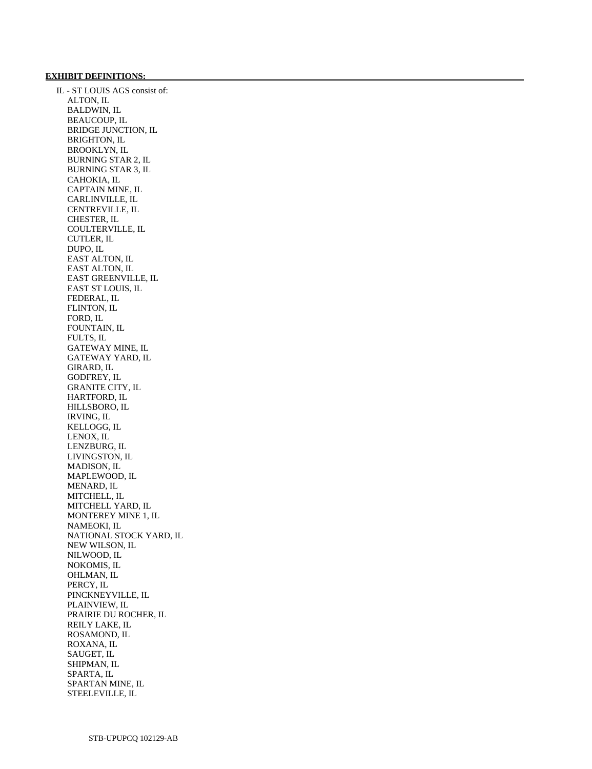#### **EXHIBIT DEFINITIONS:**

 IL - ST LOUIS AGS consist of: ALTON, IL BALDWIN, IL BEAUCOUP, IL BRIDGE JUNCTION, IL BRIGHTON, IL BROOKLYN, IL BURNING STAR 2, IL BURNING STAR 3, IL CAHOKIA, IL CAPTAIN MINE, IL CARLINVILLE, IL CENTREVILLE, IL CHESTER, IL COULTERVILLE, IL CUTLER, IL DUPO, IL EAST ALTON, IL EAST ALTON, IL EAST GREENVILLE, IL EAST ST LOUIS, IL FEDERAL, IL FLINTON, IL FORD, IL FOUNTAIN, IL FULTS, IL GATEWAY MINE, IL GATEWAY YARD, IL GIRARD, IL GODFREY, IL GRANITE CITY, IL HARTFORD, IL HILLSBORO, IL IRVING, IL KELLOGG, IL LENOX, IL LENZBURG, IL LIVINGSTON, IL MADISON, IL MAPLEWOOD, IL MENARD, IL MITCHELL, IL MITCHELL YARD, IL MONTEREY MINE 1, IL NAMEOKI, IL NATIONAL STOCK YARD, IL NEW WILSON, IL NILWOOD, IL NOKOMIS, IL OHLMAN, IL PERCY, IL PINCKNEYVILLE, IL PLAINVIEW, IL PRAIRIE DU ROCHER, IL REILY LAKE, IL ROSAMOND, IL ROXANA, IL SAUGET, IL SHIPMAN, IL SPARTA, IL SPARTAN MINE, IL STEELEVILLE, IL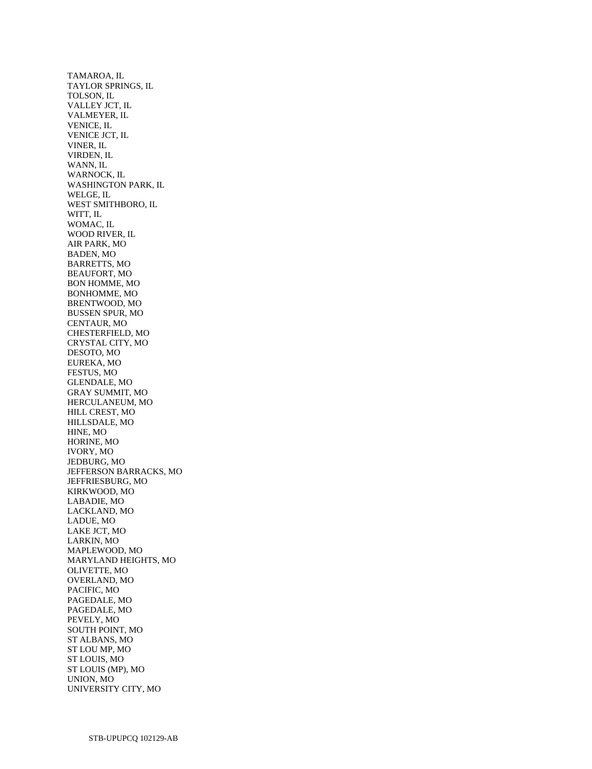TAMAROA, IL TAYLOR SPRINGS, IL TOLSON, IL VALLEY JCT, IL VALMEYER, IL VENICE, IL VENICE JCT, IL VINER, IL VIRDEN, IL WANN, IL WARNOCK, IL WASHINGTON PARK, IL WELGE, IL WEST SMITHBORO, IL WITT, IL WOMAC, IL WOOD RIVER, IL AIR PARK, MO BADEN, MO BARRETTS, MO BEAUFORT, MO BON HOMME, MO BONHOMME, MO BRENTWOOD, MO BUSSEN SPUR, MO CENTAUR, MO CHESTERFIELD, MO CRYSTAL CITY, MO DESOTO, MO EUREKA, MO FESTUS, MO GLENDALE, MO GRAY SUMMIT, MO HERCULANEUM, MO HILL CREST, MO HILLSDALE, MO HINE, MO HORINE, MO IVORY, MO JEDBURG, MO JEFFERSON BARRACKS, MO JEFFRIESBURG, MO KIRKWOOD, MO LABADIE, MO LACKLAND, MO LADUE, MO LAKE JCT, MO LARKIN, MO MAPLEWOOD, MO MARYLAND HEIGHTS, MO OLIVETTE, MO OVERLAND, MO PACIFIC, MO PAGEDALE, MO PAGEDALE, MO PEVELY, MO SOUTH POINT, MO ST ALBANS, MO ST LOU MP, MO ST LOUIS, MO ST LOUIS (MP), MO UNION, MO UNIVERSITY CITY, MO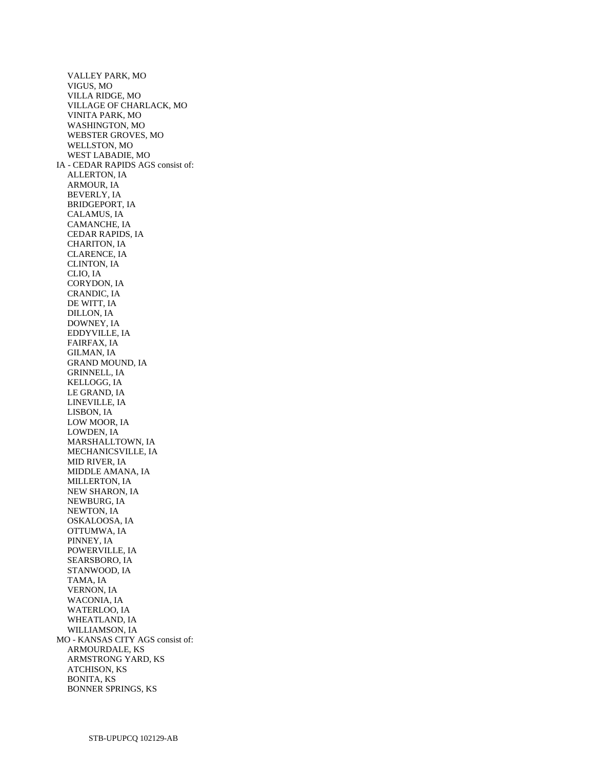VALLEY PARK, MO VIGUS, MO VILLA RIDGE, MO VILLAGE OF CHARLACK, MO VINITA PARK, MO WASHINGTON, MO WEBSTER GROVES, MO WELLSTON, MO WEST LABADIE, MO IA - CEDAR RAPIDS AGS consist of: ALLERTON, IA ARMOUR, IA BEVERLY, IA BRIDGEPORT, IA CALAMUS, IA CAMANCHE, IA CEDAR RAPIDS, IA CHARITON, IA CLARENCE, IA CLINTON, IA CLIO, IA CORYDON, IA CRANDIC, IA DE WITT, IA DILLON, IA DOWNEY, IA EDDYVILLE, IA FAIRFAX, IA GILMAN, IA GRAND MOUND, IA GRINNELL, IA KELLOGG, IA LE GRAND, IA LINEVILLE, IA LISBON, IA LOW MOOR, IA LOWDEN, IA MARSHALLTOWN, IA MECHANICSVILLE, IA MID RIVER, IA MIDDLE AMANA, IA MILLERTON, IA NEW SHARON, IA NEWBURG, IA NEWTON, IA OSKALOOSA, IA OTTUMWA, IA PINNEY, IA POWERVILLE, IA SEARSBORO, IA STANWOOD, IA TAMA, IA VERNON, IA WACONIA, IA WATERLOO, IA WHEATLAND, IA WILLIAMSON, IA MO - KANSAS CITY AGS consist of: ARMOURDALE, KS ARMSTRONG YARD, KS ATCHISON, KS BONITA, KS BONNER SPRINGS, KS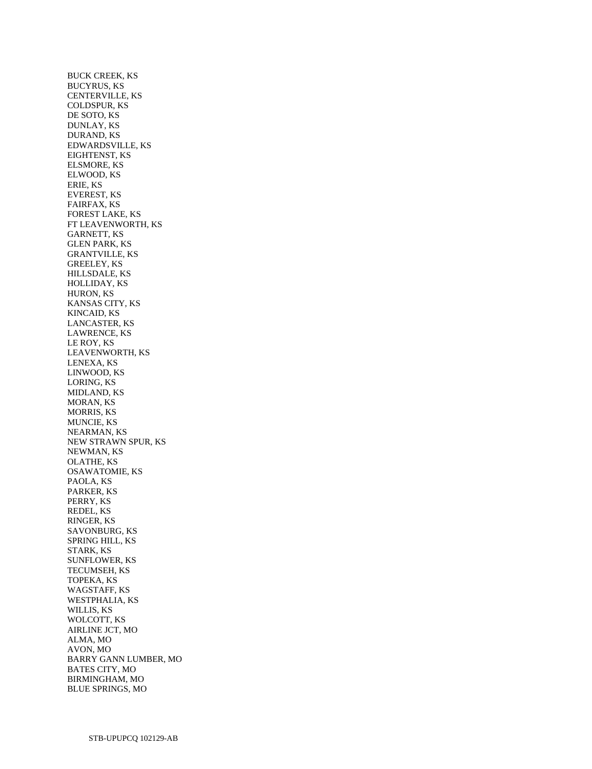BUCK CREEK, KS BUCYRUS, KS CENTERVILLE, KS COLDSPUR, KS DE SOTO, KS DUNLAY, KS DURAND, KS EDWARDSVILLE, KS EIGHTENST, KS ELSMORE, KS ELWOOD, KS ERIE, KS EVEREST, KS FAIRFAX, KS FOREST LAKE, KS FT LEAVENWORTH, KS GARNETT, KS GLEN PARK, KS GRANTVILLE, KS GREELEY, KS HILLSDALE, KS HOLLIDAY, KS HURON, KS KANSAS CITY, KS KINCAID, KS LANCASTER, KS LAWRENCE, KS LE ROY, KS LEAVENWORTH, KS LENEXA, KS LINWOOD, KS LORING, KS MIDLAND, KS MORAN, KS MORRIS, KS MUNCIE, KS NEARMAN, KS NEW STRAWN SPUR, KS NEWMAN, KS OLATHE, KS OSAWATOMIE, KS PAOLA, KS PARKER, KS PERRY, KS REDEL, KS RINGER, KS SAVONBURG, KS SPRING HILL, KS STARK, KS SUNFLOWER, KS TECUMSEH, KS TOPEKA, KS WAGSTAFF, KS WESTPHALIA, KS WILLIS, KS WOLCOTT, KS AIRLINE JCT, MO ALMA, MO AVON, MO BARRY GANN LUMBER, MO BATES CITY, MO BIRMINGHAM, MO BLUE SPRINGS, MO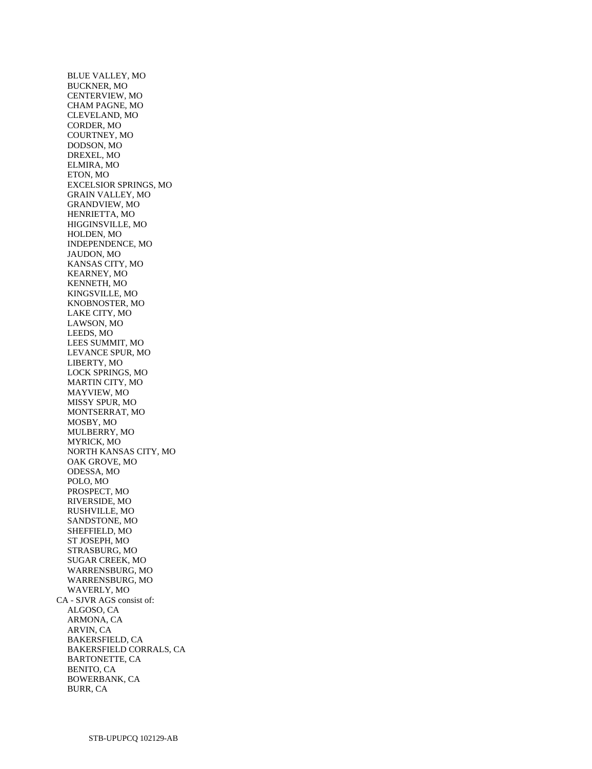BLUE VALLEY, MO BUCKNER, MO CENTERVIEW, MO CHAM PAGNE, MO CLEVELAND, MO CORDER, MO COURTNEY, MO DODSON, MO DREXEL, MO ELMIRA, MO ETON, MO EXCELSIOR SPRINGS, MO GRAIN VALLEY, MO GRANDVIEW, MO HENRIETTA, MO HIGGINSVILLE, MO HOLDEN, MO INDEPENDENCE, MO JAUDON, MO KANSAS CITY, MO KEARNEY, MO KENNETH, MO KINGSVILLE, MO KNOBNOSTER, MO LAKE CITY, MO LAWSON, MO LEEDS, MO LEES SUMMIT, MO LEVANCE SPUR, MO LIBERTY, MO LOCK SPRINGS, MO MARTIN CITY, MO MAYVIEW, MO MISSY SPUR, MO MONTSERRAT, MO MOSBY, MO MULBERRY, MO MYRICK, MO NORTH KANSAS CITY, MO OAK GROVE, MO ODESSA, MO POLO, MO PROSPECT, MO RIVERSIDE, MO RUSHVILLE, MO SANDSTONE, MO SHEFFIELD, MO ST JOSEPH, MO STRASBURG, MO SUGAR CREEK, MO WARRENSBURG, MO WARRENSBURG, MO WAVERLY, MO CA - SJVR AGS consist of: ALGOSO, CA ARMONA, CA ARVIN, CA BAKERSFIELD, CA BAKERSFIELD CORRALS, CA BARTONETTE, CA BENITO, CA BOWERBANK, CA BURR, CA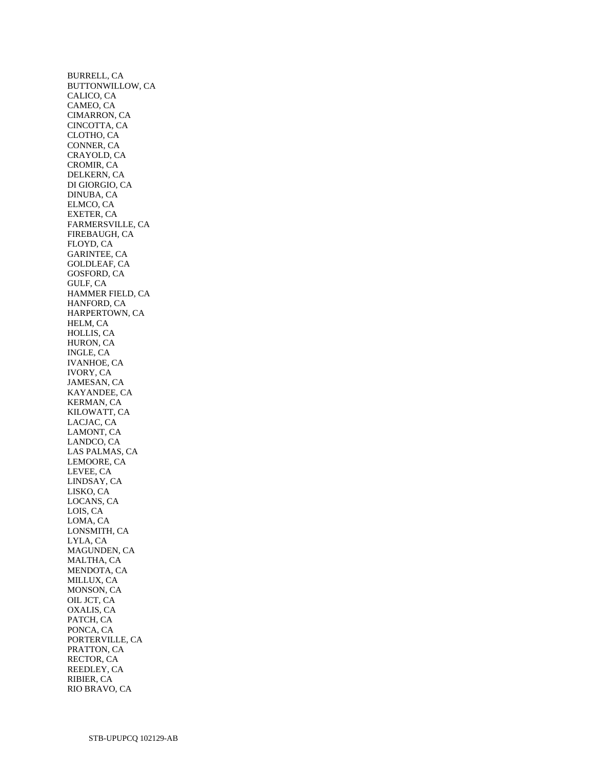BURRELL, CA BUTTONWILLOW, CA CALICO, CA CAMEO, CA CIMARRON, CA CINCOTTA, CA CLOTHO, CA CONNER, CA CRAYOLD, CA CROMIR, CA DELKERN, CA DI GIORGIO, CA DINUBA, CA ELMCO, CA EXETER, CA FARMERSVILLE, CA FIREBAUGH, CA FLOYD, CA GARINTEE, CA GOLDLEAF, CA GOSFORD, CA GULF, CA HAMMER FIELD, CA HANFORD, CA HARPERTOWN, CA HELM, CA HOLLIS, CA HURON, CA INGLE, CA IVANHOE, CA IVORY, CA JAMESAN, CA KAYANDEE, CA KERMAN, CA KILOWATT, CA LACJAC, CA LAMONT, CA LANDCO, CA LAS PALMAS, CA LEMOORE, CA LEVEE, CA LINDSAY, CA LISKO, CA LOCANS, CA LOIS, CA LOMA, CA LONSMITH, CA LYLA, CA MAGUNDEN, CA MALTHA, CA MENDOTA, CA MILLUX, CA MONSON, CA OIL JCT, CA OXALIS, CA PATCH, CA PONCA, CA PORTERVILLE, CA PRATTON, CA RECTOR, CA REEDLEY, CA RIBIER, CA RIO BRAVO, CA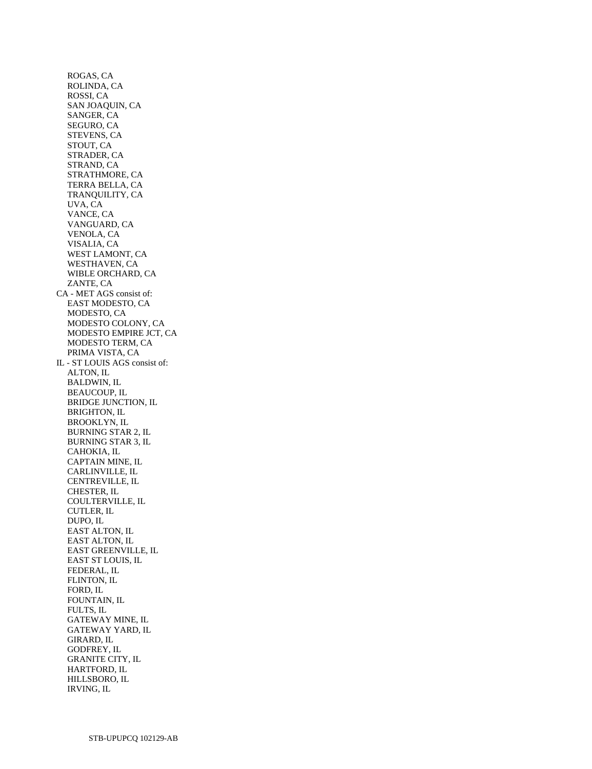ROGAS, CA ROLINDA, CA ROSSI, CA SAN JOAQUIN, CA SANGER, CA SEGURO, CA STEVENS, CA STOUT, CA STRADER, CA STRAND, CA STRATHMORE, CA TERRA BELLA, CA TRANQUILITY, CA UVA, CA VANCE, CA VANGUARD, CA VENOLA, CA VISALIA, CA WEST LAMONT, CA WESTHAVEN, CA WIBLE ORCHARD, CA ZANTE, CA CA - MET AGS consist of: EAST MODESTO, CA MODESTO, CA MODESTO COLONY, CA MODESTO EMPIRE JCT, CA MODESTO TERM, CA PRIMA VISTA, CA IL - ST LOUIS AGS consist of: ALTON, IL BALDWIN, IL BEAUCOUP, IL BRIDGE JUNCTION, IL BRIGHTON, IL BROOKLYN, IL BURNING STAR 2, IL BURNING STAR 3, IL CAHOKIA, IL CAPTAIN MINE, IL CARLINVILLE, IL CENTREVILLE, IL CHESTER, IL COULTERVILLE, IL CUTLER, IL DUPO, IL EAST ALTON, IL EAST ALTON, IL EAST GREENVILLE, IL EAST ST LOUIS, IL FEDERAL, IL FLINTON, IL FORD, IL FOUNTAIN, IL FULTS, IL GATEWAY MINE, IL GATEWAY YARD, IL GIRARD, IL GODFREY, IL GRANITE CITY, IL HARTFORD, IL HILLSBORO, IL IRVING, IL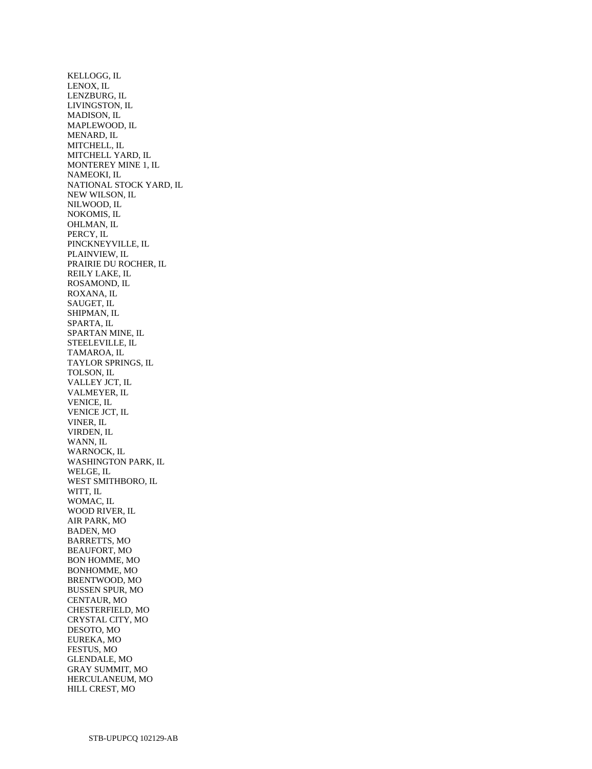KELLOGG, IL LENOX, IL LENZBURG, IL LIVINGSTON, IL MADISON, IL MAPLEWOOD, IL MENARD, IL MITCHELL, IL MITCHELL YARD, IL MONTEREY MINE 1, IL NAMEOKI, IL NATIONAL STOCK YARD, IL NEW WILSON, IL NILWOOD, IL NOKOMIS, IL OHLMAN, IL PERCY, IL PINCKNEYVILLE, IL PLAINVIEW, IL PRAIRIE DU ROCHER, IL REILY LAKE, IL ROSAMOND, IL ROXANA, IL SAUGET, IL SHIPMAN, IL SPARTA, IL SPARTAN MINE, IL STEELEVILLE, IL TAMAROA, IL TAYLOR SPRINGS, IL TOLSON, IL VALLEY JCT, IL VALMEYER, IL VENICE, IL VENICE JCT, IL VINER, IL VIRDEN, IL WANN, IL WARNOCK, IL WASHINGTON PARK, IL WELGE, IL WEST SMITHBORO, IL WITT, IL WOMAC, IL WOOD RIVER, IL AIR PARK, MO BADEN, MO BARRETTS, MO BEAUFORT, MO BON HOMME, MO BONHOMME, MO BRENTWOOD, MO BUSSEN SPUR, MO CENTAUR, MO CHESTERFIELD, MO CRYSTAL CITY, MO DESOTO, MO EUREKA, MO FESTUS, MO GLENDALE, MO GRAY SUMMIT, MO HERCULANEUM, MO HILL CREST, MO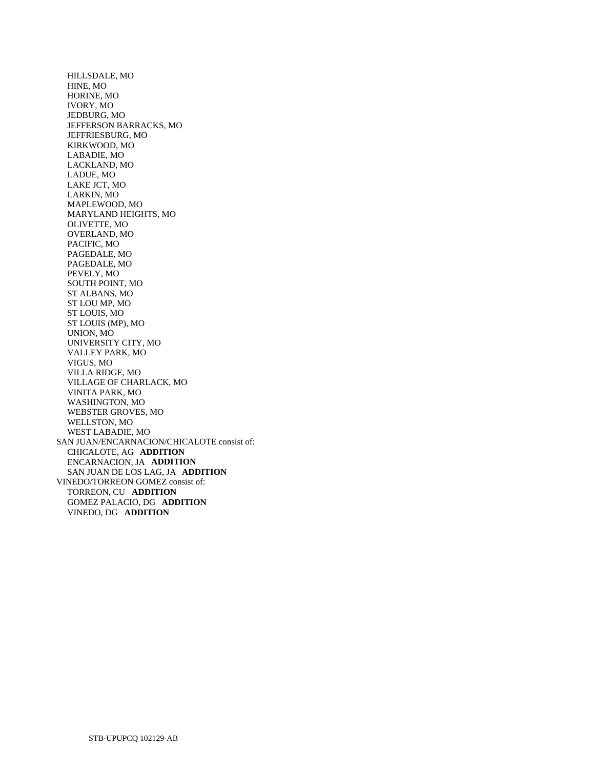HILLSDALE, MO HINE, MO HORINE, MO IVORY, MO JEDBURG, MO JEFFERSON BARRACKS, MO JEFFRIESBURG, MO KIRKWOOD, MO LABADIE, MO LACKLAND, MO LADUE, MO LAKE JCT, MO LARKIN, MO MAPLEWOOD, MO MARYLAND HEIGHTS, MO OLIVETTE, MO OVERLAND, MO PACIFIC, MO PAGEDALE, MO PAGEDALE, MO PEVELY, MO SOUTH POINT, MO ST ALBANS, MO ST LOU MP, MO ST LOUIS, MO ST LOUIS (MP), MO UNION, MO UNIVERSITY CITY, MO VALLEY PARK, MO VIGUS, MO VILLA RIDGE, MO VILLAGE OF CHARLACK, MO VINITA PARK, MO WASHINGTON, MO WEBSTER GROVES, MO WELLSTON, MO WEST LABADIE, MO SAN JUAN/ENCARNACION/CHICALOTE consist of: CHICALOTE, AG **ADDITION**  ENCARNACION, JA **ADDITION**  SAN JUAN DE LOS LAG, JA **ADDITION**  VINEDO/TORREON GOMEZ consist of: TORREON, CU **ADDITION**  GOMEZ PALACIO, DG **ADDITION**  VINEDO, DG **ADDITION**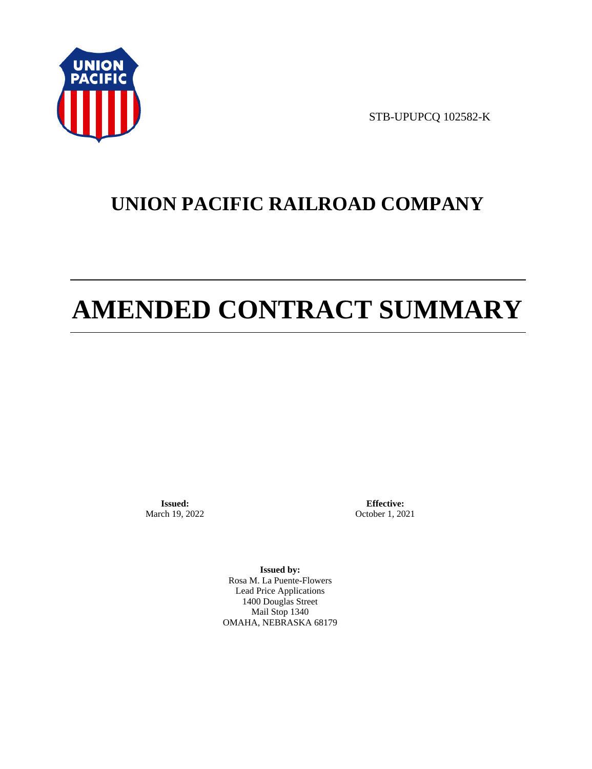

STB-UPUPCQ 102582-K

# **UNION PACIFIC RAILROAD COMPANY**

# **AMENDED CONTRACT SUMMARY**

**Issued:**  March 19, 2022

**Effective:** October 1, 2021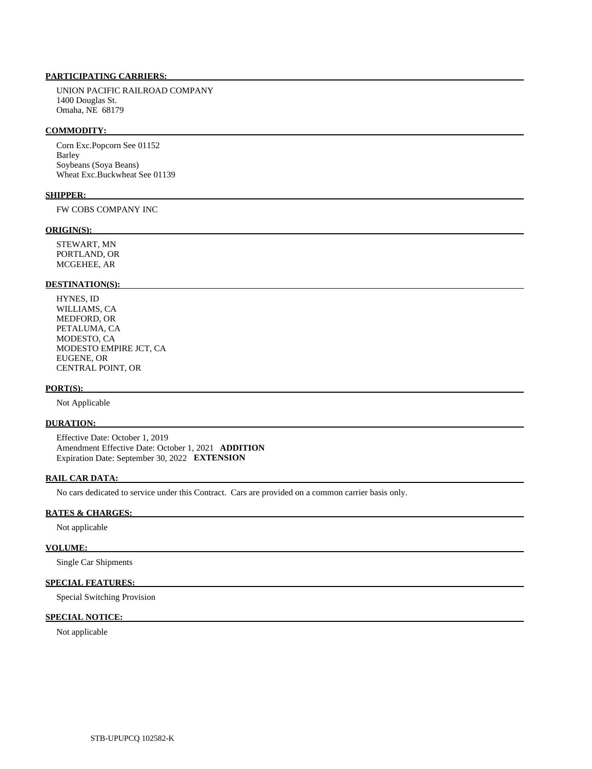UNION PACIFIC RAILROAD COMPANY 1400 Douglas St. Omaha, NE 68179

#### **COMMODITY:**

 Corn Exc.Popcorn See 01152 Barley Soybeans (Soya Beans) Wheat Exc.Buckwheat See 01139

# **SHIPPER:**

FW COBS COMPANY INC

#### **ORIGIN(S):**

 STEWART, MN PORTLAND, OR MCGEHEE, AR

#### **DESTINATION(S):**

 HYNES, ID WILLIAMS, CA MEDFORD, OR PETALUMA, CA MODESTO, CA MODESTO EMPIRE JCT, CA EUGENE, OR CENTRAL POINT, OR

#### **PORT(S):**

Not Applicable

# **DURATION:**

 Effective Date: October 1, 2019 Amendment Effective Date: October 1, 2021 **ADDITION**  Expiration Date: September 30, 2022 **EXTENSION** 

# **RAIL CAR DATA:**

No cars dedicated to service under this Contract. Cars are provided on a common carrier basis only.

# **RATES & CHARGES:**

Not applicable

#### **VOLUME:**

Single Car Shipments

### **SPECIAL FEATURES:**

Special Switching Provision

# **SPECIAL NOTICE:**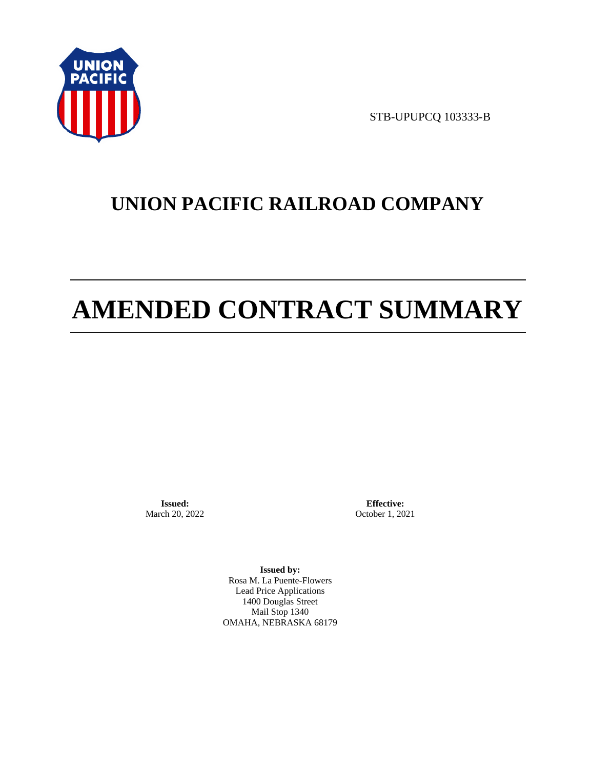

STB-UPUPCQ 103333-B

# **UNION PACIFIC RAILROAD COMPANY**

# **AMENDED CONTRACT SUMMARY**

**Issued:**  March 20, 2022

**Effective:** October 1, 2021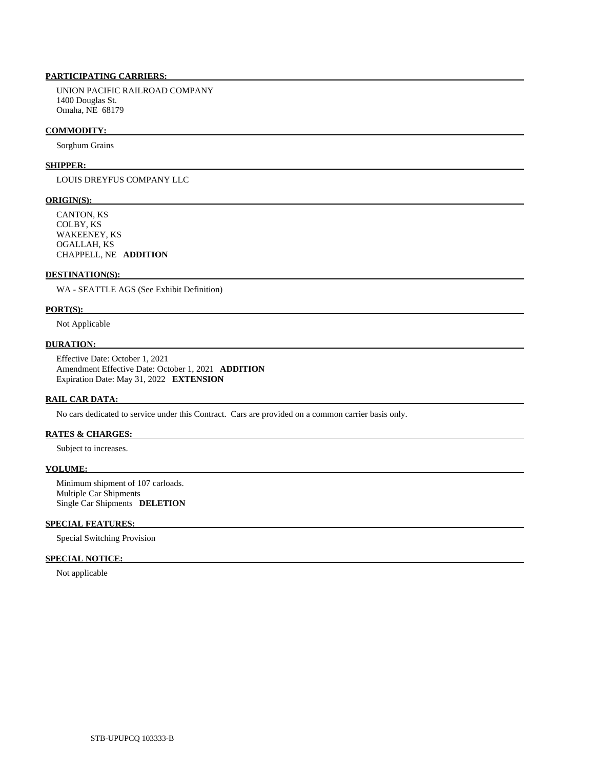UNION PACIFIC RAILROAD COMPANY 1400 Douglas St. Omaha, NE 68179

#### **COMMODITY:**

Sorghum Grains

#### **SHIPPER:**

LOUIS DREYFUS COMPANY LLC

#### **ORIGIN(S):**

 CANTON, KS COLBY, KS WAKEENEY, KS OGALLAH, KS CHAPPELL, NE **ADDITION** 

### **DESTINATION(S):**

WA - SEATTLE AGS (See Exhibit Definition)

#### **PORT(S):**

Not Applicable

# **DURATION:**

 Effective Date: October 1, 2021 Amendment Effective Date: October 1, 2021 **ADDITION**  Expiration Date: May 31, 2022 **EXTENSION** 

#### **RAIL CAR DATA:**

No cars dedicated to service under this Contract. Cars are provided on a common carrier basis only.

# **RATES & CHARGES:**

Subject to increases.

# **VOLUME:**

 Minimum shipment of 107 carloads. Multiple Car Shipments Single Car Shipments **DELETION** 

### **SPECIAL FEATURES:**

Special Switching Provision

# **SPECIAL NOTICE:**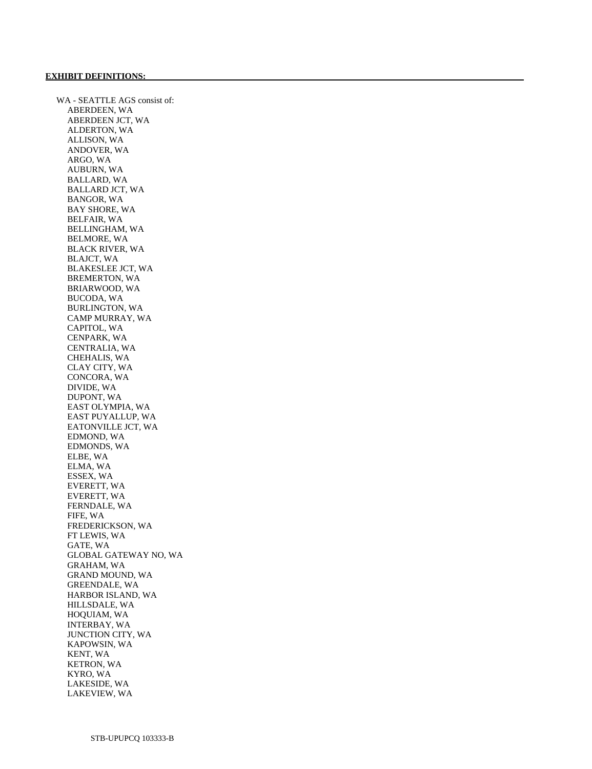WA - SEATTLE AGS consist of: ABERDEEN, WA ABERDEEN JCT, WA ALDERTON, WA ALLISON, WA ANDOVER, WA ARGO, WA AUBURN, WA BALLARD, WA BALLARD JCT, WA BANGOR, WA BAY SHORE, WA BELFAIR, WA BELLINGHAM, WA BELMORE, WA BLACK RIVER, WA BLAJCT, WA BLAKESLEE JCT, WA BREMERTON, WA BRIARWOOD, WA BUCODA, WA BURLINGTON, WA CAMP MURRAY, WA CAPITOL, WA CENPARK, WA CENTRALIA, WA CHEHALIS, WA CLAY CITY, WA CONCORA, WA DIVIDE, WA DUPONT, WA EAST OLYMPIA, WA EAST PUYALLUP, WA EATONVILLE JCT, WA EDMOND, WA EDMONDS, WA ELBE, WA ELMA, WA ESSEX, WA EVERETT, WA EVERETT, WA FERNDALE, WA FIFE, WA FREDERICKSON, WA FT LEWIS, WA GATE, WA GLOBAL GATEWAY NO, WA GRAHAM, WA GRAND MOUND, WA GREENDALE, WA HARBOR ISLAND, WA HILLSDALE, WA HOQUIAM, WA INTERBAY, WA JUNCTION CITY, WA KAPOWSIN, WA KENT, WA KETRON, WA KYRO, WA LAKESIDE, WA LAKEVIEW, WA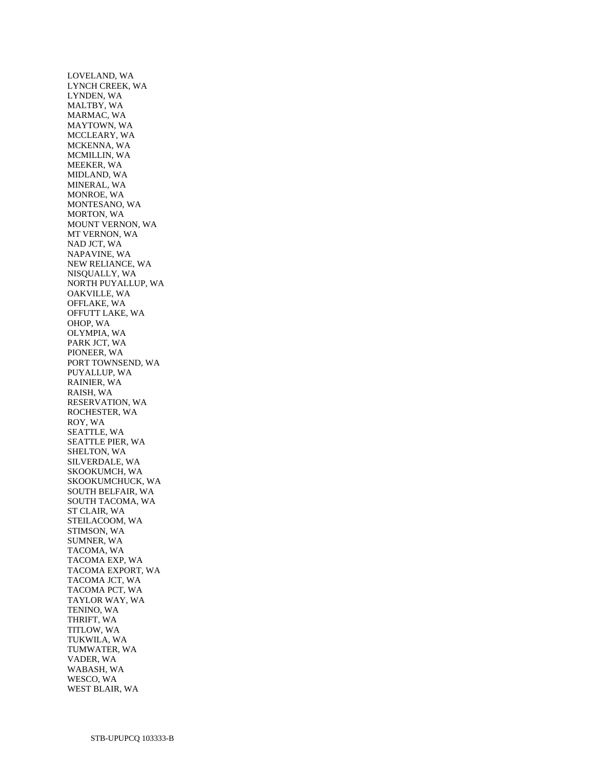LOVELAND, WA LYNCH CREEK, WA LYNDEN, WA MALTBY, WA MARMAC, WA MAYTOWN, WA MCCLEARY, WA MCKENNA, WA MCMILLIN, WA MEEKER, WA MIDLAND, WA MINERAL, WA MONROE, WA MONTESANO, WA MORTON, WA MOUNT VERNON, WA MT VERNON, WA NAD JCT, WA NAPAVINE, WA NEW RELIANCE, WA NISQUALLY, WA NORTH PUYALLUP, WA OAKVILLE, WA OFFLAKE, WA OFFUTT LAKE, WA OHOP, WA OLYMPIA, WA PARK JCT, WA PIONEER, WA PORT TOWNSEND, WA PUYALLUP, WA RAINIER, WA RAISH, WA RESERVATION, WA ROCHESTER, WA ROY, WA SEATTLE, WA SEATTLE PIER, WA SHELTON, WA SILVERDALE, WA SKOOKUMCH, WA SKOOKUMCHUCK, WA SOUTH BELFAIR, WA SOUTH TACOMA, WA ST CLAIR, WA STEILACOOM, WA STIMSON, WA SUMNER, WA TACOMA, WA TACOMA EXP, WA TACOMA EXPORT, WA TACOMA JCT, WA TACOMA PCT, WA TAYLOR WAY, WA TENINO, WA THRIFT, WA TITLOW, WA TUKWILA, WA TUMWATER, WA VADER, WA WABASH, WA WESCO, WA WEST BLAIR, WA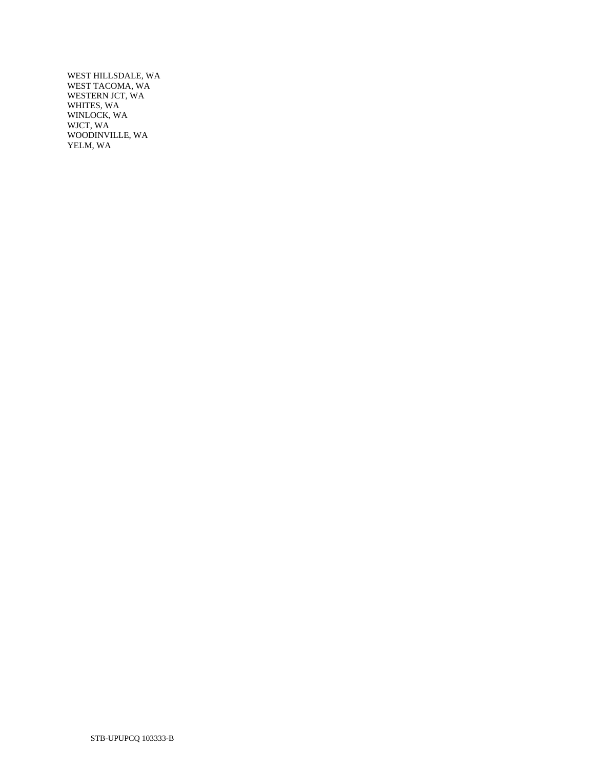WEST HILLSDALE, WA WEST TACOMA, WA WESTERN JCT, WA WHITES, WA WINLOCK, WA WJCT, WA WOODINVILLE, WA YELM, WA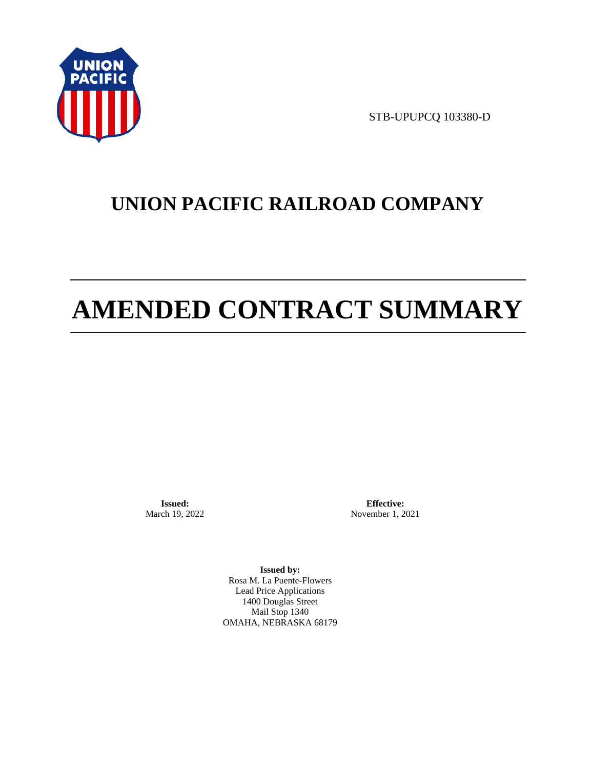

STB-UPUPCQ 103380-D

# **UNION PACIFIC RAILROAD COMPANY**

# **AMENDED CONTRACT SUMMARY**

**Issued:**  March 19, 2022

**Effective:** November 1, 2021